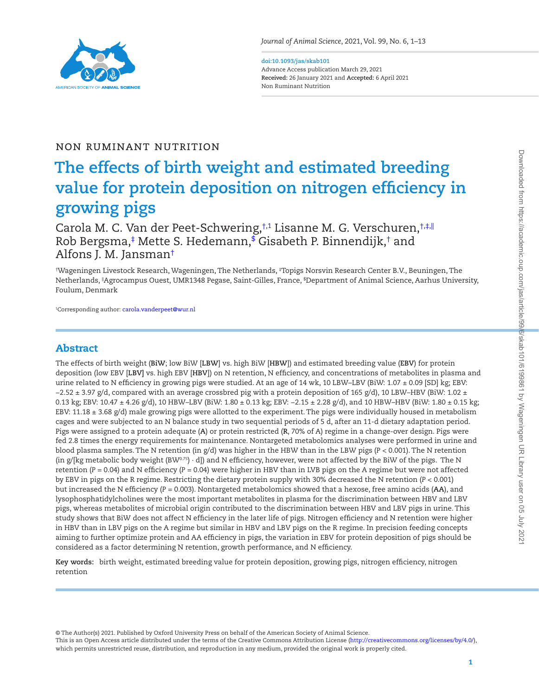

#### **doi:10.1093/jas/skab101** Advance Access publication March 29, 2021 **Received:** 26 January 2021 and **Accepted:** 6 April 2021

<span id="page-0-3"></span>Non Ruminant Nutrition

## Non Ruminant Nutrition

# **The effects of birth weight and estimated breeding value for protein deposition on nitrogen efficiency in growing pigs**

Carola M. C. Van der Peet-Schwering,[†](#page-0-0)[,1](#page-0-1) Lisanne M. G. Verschuren,[†,](#page-0-0)[‡,](#page-0-2)[||](#page-0-0) Rob Bergsma, [‡](#page-0-2) Mette S. Hedemann, [\\$](#page-0-3) Gisabeth P. Binnendijk, [†](#page-0-0) and Alfons J. M. Jansman[†](#page-0-0)

<span id="page-0-2"></span><span id="page-0-0"></span>† Wageningen Livestock Research, Wageningen, The Netherlands, ‡ Topigs Norsvin Research Center B.V., Beuningen, The Netherlands, ||Agrocampus Ouest, UMR1348 Pegase, Saint-Gilles, France, \$ Department of Animal Science, Aarhus University, Foulum, Denmark

<span id="page-0-1"></span>1 Corresponding author: [carola.vanderpeet@wur.nl](mailto:carola.vanderpeet@wur.nl?subject=)

# Abstract

L

The effects of birth weight (**BiW**; low BiW [**LBW**] vs. high BiW [**HBW**]) and estimated breeding value (**EBV**) for protein deposition (low EBV [**LBV]** vs. high EBV [**HBV**]) on N retention, N efficiency, and concentrations of metabolites in plasma and urine related to N efficiency in growing pigs were studied. At an age of 14 wk, 10 LBW-LBV (BiW: 1.07 ± 0.09 [SD] kg; EBV:  $-2.52 \pm 3.97$  g/d, compared with an average crossbred pig with a protein deposition of 165 g/d), 10 LBW–HBV (BiW: 1.02 ± 0.13 kg; EBV: 10.47 ± 4.26 g/d), 10 HBW–LBV (BiW: 1.80 ± 0.13 kg; EBV: −2.15 ± 2.28 g/d), and 10 HBW–HBV (BiW: 1.80 ± 0.15 kg; EBV: 11.18  $\pm$  3.68 g/d) male growing pigs were allotted to the experiment. The pigs were individually housed in metabolism cages and were subjected to an N balance study in two sequential periods of 5 d, after an 11-d dietary adaptation period. Pigs were assigned to a protein adequate (**A**) or protein restricted (**R**, 70% of A) regime in a change-over design. Pigs were fed 2.8 times the energy requirements for maintenance. Nontargeted metabolomics analyses were performed in urine and blood plasma samples. The N retention (in g/d) was higher in the HBW than in the LBW pigs (*P* < 0.001). The N retention (in g/[kg metabolic body weight (BW<sup>0.75</sup>) · d]) and N efficiency, however, were not affected by the BiW of the pigs. The N retention  $(P = 0.04)$  and N efficiency  $(P = 0.04)$  were higher in HBV than in LVB pigs on the A regime but were not affected by EBV in pigs on the R regime. Restricting the dietary protein supply with 30% decreased the N retention (*P* < 0.001) but increased the N efficiency (*P* = 0.003). Nontargeted metabolomics showed that a hexose, free amino acids (**AA**), and lysophosphatidylcholines were the most important metabolites in plasma for the discrimination between HBV and LBV pigs, whereas metabolites of microbial origin contributed to the discrimination between HBV and LBV pigs in urine. This study shows that BiW does not affect N efficiency in the later life of pigs. Nitrogen efficiency and N retention were higher in HBV than in LBV pigs on the A regime but similar in HBV and LBV pigs on the R regime. In precision feeding concepts aiming to further optimize protein and AA efficiency in pigs, the variation in EBV for protein deposition of pigs should be considered as a factor determining N retention, growth performance, and N efficiency.

**Key words:** birth weight, estimated breeding value for protein deposition, growing pigs, nitrogen efficiency, nitrogen retention

© The Author(s) 2021. Published by Oxford University Press on behalf of the American Society of Animal Science.

This is an Open Access article distributed under the terms of the Creative Commons Attribution License [\(http://creativecommons.org/licenses/by/4.0/](http://creativecommons.org/licenses/by/4.0/)), which permits unrestricted reuse, distribution, and reproduction in any medium, provided the original work is properly cited.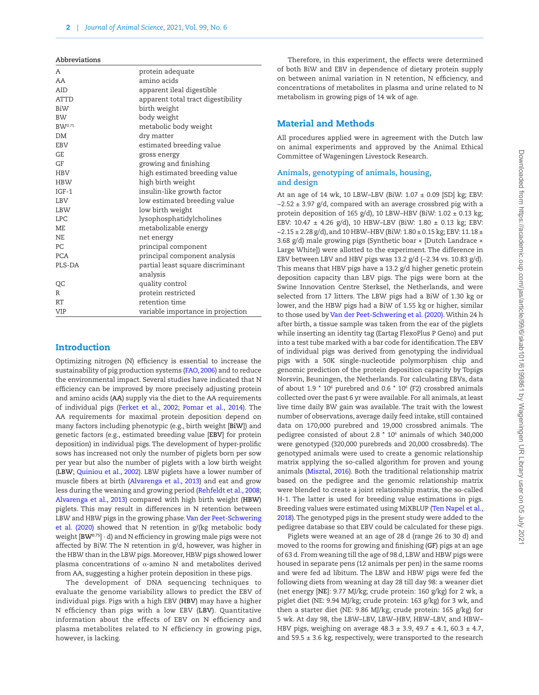#### **Abbreviations**

| Α           | protein adequate                   |
|-------------|------------------------------------|
| AA          | amino acids                        |
| AID         | apparent ileal digestible          |
| <b>ATTD</b> | apparent total tract digestibility |
| BiW         | birth weight                       |
| <b>BW</b>   | body weight                        |
| BW0.75      | metabolic body weight              |
| DM          | dry matter                         |
| EBV         | estimated breeding value           |
| <b>GE</b>   | gross energy                       |
| GF          | growing and finishing              |
| HBV         | high estimated breeding value      |
| <b>HBW</b>  | high birth weight                  |
| $IGF-1$     | insulin-like growth factor         |
| LBV         | low estimated breeding value       |
| LBW         | low birth weight                   |
| <b>LPC</b>  | lysophosphatidylcholines           |
| МE          | metabolizable energy               |
| <b>NE</b>   | net energy                         |
| PС          | principal component                |
| <b>PCA</b>  | principal component analysis       |
| PLS-DA      | partial least square discriminant  |
|             | analysis                           |
| QC          | quality control                    |
| R           | protein restricted                 |
| <b>RT</b>   | retention time                     |
| VIP         | variable importance in projection  |

## **Introduction**

Optimizing nitrogen (N) efficiency is essential to increase the sustainability of pig production systems [\(FAO, 2006](#page-11-0)) and to reduce the environmental impact. Several studies have indicated that N efficiency can be improved by more precisely adjusting protein and amino acids (**AA**) supply via the diet to the AA requirements of individual pigs [\(Ferket et al., 2002](#page-11-1); [Pomar et al., 2014\)](#page-12-0). The AA requirements for maximal protein deposition depend on many factors including phenotypic (e.g., birth weight [**BiW**]) and genetic factors (e.g., estimated breeding value [**EBV**] for protein deposition) in individual pigs. The development of hyper-prolific sows has increased not only the number of piglets born per sow per year but also the number of piglets with a low birth weight (**LBW**; [Quiniou et al., 2002\)](#page-12-1). LBW piglets have a lower number of muscle fibers at birth ([Alvarenga et al., 2013\)](#page-11-2) and eat and grow less during the weaning and growing period [\(Rehfeldt et al., 2008](#page-12-2); [Alvarenga et al., 2013](#page-11-2)) compared with high birth weight (**HBW**) piglets. This may result in differences in N retention between LBW and HBW pigs in the growing phase. [Van der Peet-Schwering](#page-12-3) [et al. \(2020\)](#page-12-3) showed that N retention in g/(kg metabolic body weight [**BW0.75**] · d) and N efficiency in growing male pigs were not affected by BiW. The N retention in g/d, however, was higher in the HBW than in the LBW pigs. Moreover, HBW pigs showed lower plasma concentrations of  $α$ -amino N and metabolites derived from AA, suggesting a higher protein deposition in these pigs.

The development of DNA sequencing techniques to evaluate the genome variability allows to predict the EBV of individual pigs. Pigs with a high EBV (**HBV**) may have a higher N efficiency than pigs with a low EBV (**LBV**). Quantitative information about the effects of EBV on N efficiency and plasma metabolites related to N efficiency in growing pigs, however, is lacking.

Therefore, in this experiment, the effects were determined of both BiW and EBV in dependence of dietary protein supply on between animal variation in N retention, N efficiency, and concentrations of metabolites in plasma and urine related to N metabolism in growing pigs of 14 wk of age.

## Material and Methods

All procedures applied were in agreement with the Dutch law on animal experiments and approved by the Animal Ethical Committee of Wageningen Livestock Research.

## **Animals, genotyping of animals, housing, and design**

At an age of 14 wk, 10 LBW–LBV (BiW:  $1.07 \pm 0.09$  [SD] kg; EBV: −2.52 ± 3.97 g/d, compared with an average crossbred pig with a protein deposition of 165 g/d), 10 LBW–HBV (BiW:  $1.02 \pm 0.13$  kg; EBV:  $10.47 \pm 4.26$  g/d), 10 HBW-LBV (BiW:  $1.80 \pm 0.13$  kg; EBV: −2.15 ± 2.28 g/d), and 10 HBW–HBV (BiW: 1.80 ± 0.15 kg; EBV: 11.18 ± 3.68 g/d) male growing pigs (Synthetic boar × [Dutch Landrace × Large White]) were allotted to the experiment. The difference in EBV between LBV and HBV pigs was 13.2 g/d (−2.34 vs. 10.83 g/d). This means that HBV pigs have a 13.2 g/d higher genetic protein deposition capacity than LBV pigs. The pigs were born at the Swine Innovation Centre Sterksel, the Netherlands, and were selected from 17 litters. The LBW pigs had a BiW of 1.30 kg or lower, and the HBW pigs had a BiW of 1.55 kg or higher, similar to those used by [Van der Peet-Schwering et al. \(2020\).](#page-12-3) Within 24 h after birth, a tissue sample was taken from the ear of the piglets while inserting an identity tag (Eartag FlexoPlus P Geno) and put into a test tube marked with a bar code for identification. The EBV of individual pigs was derived from genotyping the individual pigs with a 50K single-nucleotide polymorphism chip and genomic prediction of the protein deposition capacity by Topigs Norsvin, Beuningen, the Netherlands. For calculating EBVs, data of about 1.9  $*$  10 $<sup>6</sup>$  purebred and 0.6  $*$  10 $<sup>6</sup>$  (F2) crossbred animals</sup></sup> collected over the past 6 yr were available. For all animals, at least live time daily BW gain was available. The trait with the lowest number of observations, average daily feed intake, still contained data on 170,000 purebred and 19,000 crossbred animals. The pedigree consisted of about 2.8 \* 106 animals of which 340,000 were genotyped (320,000 purebreds and 20,000 crossbreds). The genotyped animals were used to create a genomic relationship matrix applying the so-called algorithm for proven and young animals [\(Misztal, 2016\)](#page-12-4). Both the traditional relationship matrix based on the pedigree and the genomic relationship matrix were blended to create a joint relationship matrix, the so-called H-1. The latter is used for breeding value estimations in pigs. Breeding values were estimated using MiXBLUP [\(Ten Napel et al.,](#page-12-5) [2018\)](#page-12-5). The genotyped pigs in the present study were added to the pedigree database so that EBV could be calculated for these pigs.

Piglets were weaned at an age of 28 d (range 26 to 30 d) and moved to the rooms for growing and finishing (**GF**) pigs at an age of 63 d. From weaning till the age of 98 d, LBW and HBW pigs were housed in separate pens (12 animals per pen) in the same rooms and were fed ad libitum. The LBW and HBW pigs were fed the following diets from weaning at day 28 till day 98: a weaner diet (net energy [**NE**]: 9.77 MJ/kg; crude protein: 160 g/kg) for 2 wk, a piglet diet (NE: 9.94 MJ/kg; crude protein: 163 g/kg) for 3 wk, and then a starter diet (NE: 9.86 MJ/kg; crude protein: 165 g/kg) for 5 wk. At day 98, the LBW–LBV, LBW–HBV, HBW–LBV, and HBW– HBV pigs, weighing on average 48.3 ± 3.9, 49.7 ± 4.1, 60.3 ± 4.7, and 59.5  $\pm$  3.6 kg, respectively, were transported to the research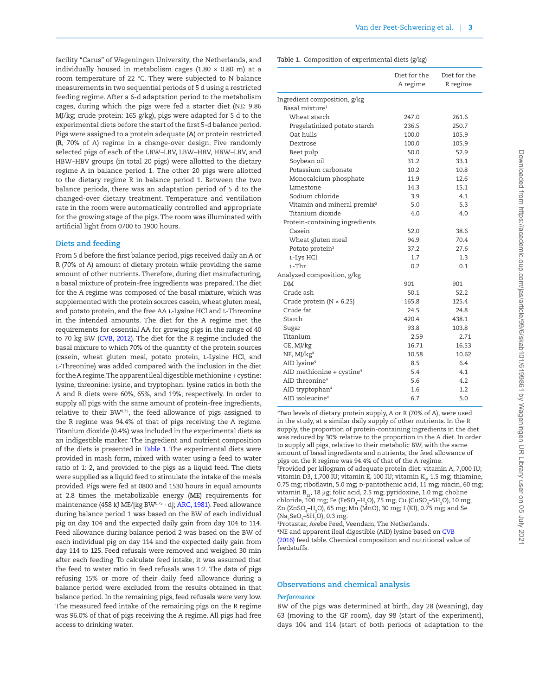facility "Carus" of Wageningen University, the Netherlands, and individually housed in metabolism cages (1.80  $\times$  0.80 m) at a room temperature of 22 °C. They were subjected to N balance measurements in two sequential periods of 5 d using a restricted feeding regime. After a 6-d adaptation period to the metabolism cages, during which the pigs were fed a starter diet (NE: 9.86 MJ/kg; crude protein: 165 g/kg), pigs were adapted for 5 d to the experimental diets before the start of the first 5-d balance period. Pigs were assigned to a protein adequate (**A**) or protein restricted (**R**, 70% of A) regime in a change-over design. Five randomly selected pigs of each of the LBW–LBV, LBW–HBV, HBW–LBV, and HBW–HBV groups (in total 20 pigs) were allotted to the dietary regime A in balance period 1. The other 20 pigs were allotted to the dietary regime R in balance period 1. Between the two balance periods, there was an adaptation period of 5 d to the changed-over dietary treatment. Temperature and ventilation rate in the room were automatically controlled and appropriate for the growing stage of the pigs. The room was illuminated with artificial light from 0700 to 1900 hours.

## **Diets and feeding**

From 5 d before the first balance period, pigs received daily an A or R (70% of A) amount of dietary protein while providing the same amount of other nutrients. Therefore, during diet manufacturing, a basal mixture of protein-free ingredients was prepared. The diet for the A regime was composed of the basal mixture, which was supplemented with the protein sources casein, wheat gluten meal, and potato protein, and the free AA L-Lysine HCl and L-Threonine in the intended amounts. The diet for the A regime met the requirements for essential AA for growing pigs in the range of 40 to 70 kg BW [\(CVB, 2012\)](#page-11-3). The diet for the R regime included the basal mixture to which 70% of the quantity of the protein sources (casein, wheat gluten meal, potato protein, l-Lysine HCl, and l-Threonine) was added compared with the inclusion in the diet for the A regime. The apparent ileal digestible methionine + cystine: lysine, threonine: lysine, and tryptophan: lysine ratios in both the A and R diets were 60%, 65%, and 19%, respectively. In order to supply all pigs with the same amount of protein-free ingredients, relative to their BW<sup>0.75</sup>, the feed allowance of pigs assigned to the R regime was 94.4% of that of pigs receiving the A regime. Titanium dioxide (0.4%) was included in the experimental diets as an indigestible marker. The ingredient and nutrient composition of the diets is presented in [Table 1.](#page-2-0) The experimental diets were provided in mash form, mixed with water using a feed to water ratio of 1: 2, and provided to the pigs as a liquid feed. The diets were supplied as a liquid feed to stimulate the intake of the meals provided. Pigs were fed at 0800 and 1530 hours in equal amounts at 2.8 times the metabolizable energy (**ME**) requirements for maintenance (458 kJ ME/[kg BW $^{0.75} \cdot$  d]; [ARC, 1981](#page-11-4)). Feed allowance during balance period 1 was based on the BW of each individual pig on day 104 and the expected daily gain from day 104 to 114. Feed allowance during balance period 2 was based on the BW of each individual pig on day 114 and the expected daily gain from day 114 to 125. Feed refusals were removed and weighed 30 min after each feeding. To calculate feed intake, it was assumed that the feed to water ratio in feed refusals was 1:2. The data of pigs refusing 15% or more of their daily feed allowance during a balance period were excluded from the results obtained in that balance period. In the remaining pigs, feed refusals were very low. The measured feed intake of the remaining pigs on the R regime was 96.0% of that of pigs receiving the A regime. All pigs had free access to drinking water.

<span id="page-2-0"></span>**Table 1.** Composition of experimental diets (g/kg)

|                                         | Diet for the<br>A regime | Diet for the<br>R regime |
|-----------------------------------------|--------------------------|--------------------------|
| Ingredient composition, g/kg            |                          |                          |
| Basal mixture <sup>1</sup>              |                          |                          |
| Wheat starch                            | 247.0                    | 261.6                    |
| Pregelatinized potato starch            | 236.5                    | 250.7                    |
| Oat hulls                               | 100.0                    | 105.9                    |
| Dextrose                                | 100.0                    | 105.9                    |
| Beet pulp                               | 50.0                     | 52.9                     |
| Soybean oil                             | 31.2                     | 33.1                     |
| Potassium carbonate                     | 10.2                     | 10.8                     |
| Monocalcium phosphate                   | 11.9                     | 12.6                     |
| Limestone                               | 14.3                     | 15.1                     |
| Sodium chloride                         | 3.9                      | 4.1                      |
| Vitamin and mineral premix <sup>2</sup> | 5.0                      | 5.3                      |
| Titanium dioxide                        | 4.0                      | 4.0                      |
| Protein-containing ingredients          |                          |                          |
| Casein                                  | 52.0                     | 38.6                     |
| Wheat gluten meal                       | 94.9                     | 70.4                     |
| Potato protein <sup>3</sup>             | 37.2                     | 27.6                     |
| L-Lys HCl                               | 1.7                      | 1.3                      |
| L-Thr                                   | 0.2                      | 0.1                      |
| Analyzed composition, g/kg              |                          |                          |
| <b>DM</b>                               | 901                      | 901                      |
| Crude ash                               | 50.1                     | 52.2                     |
| Crude protein ( $N \times 6.25$ )       | 165.8                    | 125.4                    |
| Crude fat                               | 24.5                     | 24.8                     |
| Starch                                  | 420.4                    | 438.1                    |
| Sugar                                   | 93.8                     | 103.8                    |
| Titanium                                | 2.59                     | 2.71                     |
| GE, MJ/kg                               | 16.71                    | 16.53                    |
| $NE$ , MJ/ $kg4$                        | 10.58                    | 10.62                    |
| AID lysine <sup>4</sup>                 | 8.5                      | 6.4                      |
| AID methionine + cystine <sup>4</sup>   | 5.4                      | 4.1                      |
| AID threonine <sup>4</sup>              | 5.6                      | 4.2                      |
| AID tryptophan <sup>4</sup>             | 1.6                      | 1.2                      |
| AID isoleucine <sup>4</sup>             | 6.7                      | 5.0                      |

1 Two levels of dietary protein supply, A or R (70% of A), were used in the study, at a similar daily supply of other nutrients. In the R supply, the proportion of protein-containing ingredients in the diet was reduced by 30% relative to the proportion in the A diet. In order to supply all pigs, relative to their metabolic BW, with the same amount of basal ingredients and nutrients, the feed allowance of pigs on the R regime was 94.4% of that of the A regime. 2 Provided per kilogram of adequate protein diet: vitamin A, 7,000 IU;

vitamin D3, 1,700 IU; vitamin E, 100 IU; vitamin  $K_{3}$ , 1.5 mg; thiamine, 0.75 mg; riboflavin, 5.0 mg; D-pantothenic acid, 11 mg; niacin, 60 mg; vitamin B<sub>12</sub>, 18 μg; folic acid, 2.5 mg; pyridoxine, 1.0 mg; choline chloride, 100 mg; Fe (FeSO<sub>4</sub>-H<sub>2</sub>O), 75 mg; Cu (CuSO<sub>4</sub>-5H<sub>2</sub>O), 10 mg; Zn (ZnSO<sub>4</sub>–H<sub>2</sub>O), 65 mg; Mn (MnO), 30 mg; I (KI), 0.75 mg; and Se (Na<sub>2</sub>SeO<sub>3</sub>–5H<sub>2</sub>O), 0.3 mg.

3 Protastar, Avebe Feed, Veendam, The Netherlands.

4 NE and apparent ileal digestible (AID) lysine based on [CVB](#page-11-5)  [\(2016\)](#page-11-5) feed table. Chemical composition and nutritional value of feedstuffs.

#### **Observations and chemical analysis**

#### *Performance*

BW of the pigs was determined at birth, day 28 (weaning), day 63 (moving to the GF room), day 98 (start of the experiment), days 104 and 114 (start of both periods of adaptation to the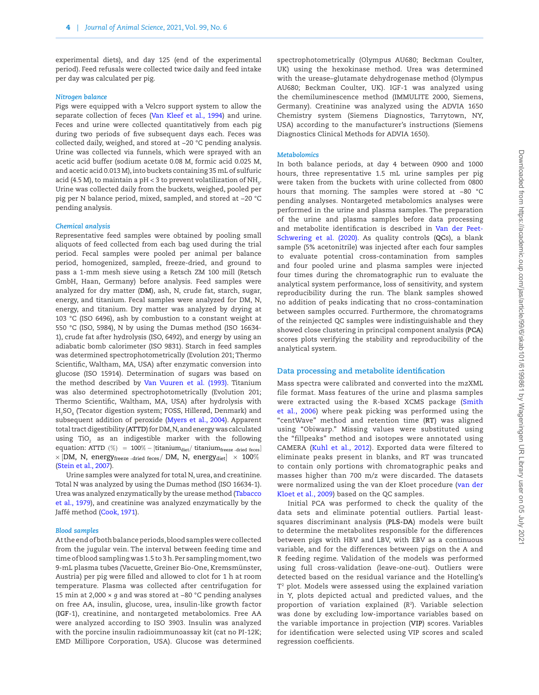experimental diets), and day 125 (end of the experimental period). Feed refusals were collected twice daily and feed intake per day was calculated per pig.

#### *Nitrogen balance*

Pigs were equipped with a Velcro support system to allow the separate collection of feces [\(Van Kleef et al., 1994\)](#page-12-6) and urine. Feces and urine were collected quantitatively from each pig during two periods of five subsequent days each. Feces was collected daily, weighed, and stored at −20 °C pending analysis. Urine was collected via funnels, which were sprayed with an acetic acid buffer (sodium acetate 0.08 M, formic acid 0.025 M, and acetic acid 0.013 M), into buckets containing 35 mL of sulfuric acid (4.5 M), to maintain a pH < 3 to prevent volatilization of NH<sub>3</sub>. Urine was collected daily from the buckets, weighed, pooled per pig per N balance period, mixed, sampled, and stored at −20 °C pending analysis.

#### *Chemical analysis*

Representative feed samples were obtained by pooling small aliquots of feed collected from each bag used during the trial period. Fecal samples were pooled per animal per balance period, homogenized, sampled, freeze-dried, and ground to pass a 1-mm mesh sieve using a Retsch ZM 100 mill (Retsch GmbH, Haan, Germany) before analysis. Feed samples were analyzed for dry matter (**DM**), ash, N, crude fat, starch, sugar, energy, and titanium. Fecal samples were analyzed for DM, N, energy, and titanium. Dry matter was analyzed by drying at 103 °C (ISO 6496), ash by combustion to a constant weight at 550 °C (ISO, 5984), N by using the Dumas method (ISO 16634- 1), crude fat after hydrolysis (ISO, 6492), and energy by using an adiabatic bomb calorimeter (ISO 9831). Starch in feed samples was determined spectrophotometrically (Evolution 201; Thermo Scientific, Waltham, MA, USA) after enzymatic conversion into glucose (ISO 15914). Determination of sugars was based on the method described by [Van Vuuren et al. \(1993\).](#page-12-7) Titanium was also determined spectrophotometrically (Evolution 201; Thermo Scientific, Waltham, MA, USA) after hydrolysis with H2 SO4 (Tecator digestion system; FOSS, Hillerød, Denmark) and subsequent addition of peroxide [\(Myers et al., 2004\)](#page-12-8). Apparent total tract digestibility (**ATTD**) for DM, N, and energy was calculated using TiO $_2$  as an indigestible marker with the following equation: ATTD  $(\%) = 100\% - [\text{titanium}_{\text{diet}}/\text{titanium}_{\text{freeze}}]$  -dried feces  $\times$  [DM, N, energy $_{\rm{freeze$  -dried feces/ DM, N, energy  $_{\rm{diet}}]~\times~100\%$ [\(Stein et al., 2007\)](#page-12-9).

Urine samples were analyzed for total N, urea, and creatinine. Total N was analyzed by using the Dumas method (ISO 16634-1). Urea was analyzed enzymatically by the urease method ([Tabacco](#page-12-10) [et al., 1979\)](#page-12-10), and creatinine was analyzed enzymatically by the Jaffé method ([Cook, 1971\)](#page-11-6).

#### *Blood samples*

At the end of both balance periods, blood samples were collected from the jugular vein. The interval between feeding time and time of blood sampling was 1.5 to 3 h. Per sampling moment, two 9-mL plasma tubes (Vacuette, Greiner Bio-One, Kremsmünster, Austria) per pig were filled and allowed to clot for 1 h at room temperature. Plasma was collected after centrifugation for 15 min at 2,000 × *g* and was stored at −80 °C pending analyses on free AA, insulin, glucose, urea, insulin-like growth factor (**IGF**-1), creatinine, and nontargeted metabolomics. Free AA were analyzed according to ISO 3903. Insulin was analyzed with the porcine insulin radioimmunoassay kit (cat no PI-12K; EMD Millipore Corporation, USA). Glucose was determined

spectrophotometrically (Olympus AU680; Beckman Coulter, UK) using the hexokinase method. Urea was determined with the urease–glutamate dehydrogenase method (Olympus AU680; Beckman Coulter, UK). IGF-1 was analyzed using the chemiluminescence method (IMMULITE 2000, Siemens, Germany). Creatinine was analyzed using the ADVIA 1650 Chemistry system (Siemens Diagnostics, Tarrytown, NY, USA) according to the manufacturer's instructions (Siemens Diagnostics Clinical Methods for ADVIA 1650).

#### *Metabolomics*

In both balance periods, at day 4 between 0900 and 1000 hours, three representative 1.5 mL urine samples per pig were taken from the buckets with urine collected from 0800 hours that morning. The samples were stored at −80 °C pending analyses. Nontargeted metabolomics analyses were performed in the urine and plasma samples. The preparation of the urine and plasma samples before data processing and metabolite identification is described in [Van der Peet-](#page-12-3)[Schwering et al. \(2020\)](#page-12-3). As quality controls (**QC**s), a blank sample (5% acetonitrile) was injected after each four samples to evaluate potential cross-contamination from samples and four pooled urine and plasma samples were injected four times during the chromatographic run to evaluate the analytical system performance, loss of sensitivity, and system reproducibility during the run. The blank samples showed no addition of peaks indicating that no cross-contamination between samples occurred. Furthermore, the chromatograms of the reinjected QC samples were indistinguishable and they showed close clustering in principal component analysis (**PCA**) scores plots verifying the stability and reproducibility of the analytical system.

#### **Data processing and metabolite identification**

Mass spectra were calibrated and converted into the mzXML file format. Mass features of the urine and plasma samples were extracted using the R-based XCMS package ([Smith](#page-12-11) [et al., 2006](#page-12-11)) where peak picking was performed using the "centWave" method and retention time (**RT**) was aligned using "Obiwarp." Missing values were substituted using the "fillpeaks" method and isotopes were annotated using CAMERA ([Kuhl et al., 2012](#page-11-7)). Exported data were filtered to eliminate peaks present in blanks, and RT was truncated to contain only portions with chromatographic peaks and masses higher than 700 m/z were discarded. The datasets were normalized using the van der Kloet procedure ([van der](#page-12-12) [Kloet et al., 2009](#page-12-12)) based on the QC samples.

Initial PCA was performed to check the quality of the data sets and eliminate potential outliers. Partial leastsquares discriminant analysis (**PLS-DA**) models were built to determine the metabolites responsible for the differences between pigs with HBV and LBV, with EBV as a continuous variable, and for the differences between pigs on the A and R feeding regime. Validation of the models was performed using full cross-validation (leave-one-out). Outliers were detected based on the residual variance and the Hotelling's T2 plot. Models were assessed using the explained variation in Y, plots depicted actual and predicted values, and the proportion of variation explained (*R*2). Variable selection was done by excluding low-importance variables based on the variable importance in projection (**VIP**) scores. Variables for identification were selected using VIP scores and scaled regression coefficients.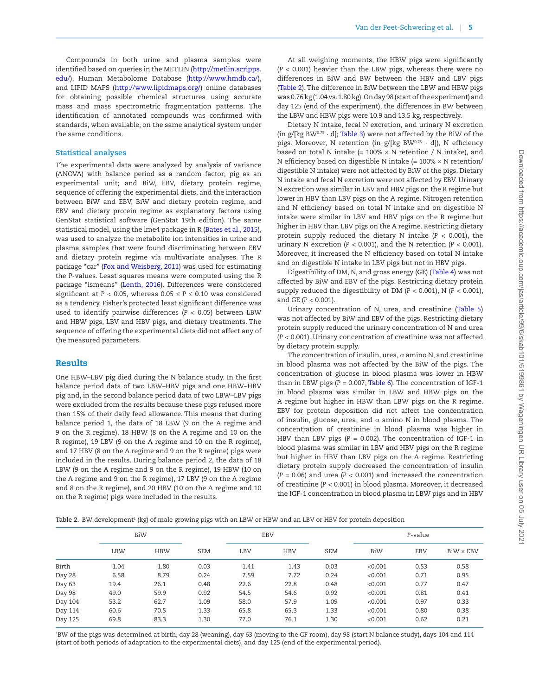Compounds in both urine and plasma samples were identified based on queries in the METLIN [\(http://metlin.scripps.](http://metlin.scripps.edu/) [edu/\)](http://metlin.scripps.edu/), Human Metabolome Database [\(http://www.hmdb.ca/\)](http://www.hmdb.ca/), and LIPID MAPS [\(http://www.lipidmaps.org/\)](http://www.lipidmaps.org/) online databases for obtaining possible chemical structures using accurate mass and mass spectrometric fragmentation patterns. The identification of annotated compounds was confirmed with standards, when available, on the same analytical system under the same conditions.

#### **Statistical analyses**

The experimental data were analyzed by analysis of variance (ANOVA) with balance period as a random factor; pig as an experimental unit; and BiW, EBV, dietary protein regime, sequence of offering the experimental diets, and the interaction between BiW and EBV, BiW and dietary protein regime, and EBV and dietary protein regime as explanatory factors using GenStat statistical software (GenStat 19th edition). The same statistical model, using the lme4 package in R [\(Bates et al., 2015\)](#page-11-8), was used to analyze the metabolite ion intensities in urine and plasma samples that were found discriminating between EBV and dietary protein regime via multivariate analyses. The R package "car" ([Fox and Weisberg, 2011](#page-11-9)) was used for estimating the *P*-values. Least squares means were computed using the R package "lsmeans" [\(Lenth, 2016](#page-12-13)). Differences were considered significant at  $P < 0.05$ , whereas  $0.05 \le P \le 0.10$  was considered as a tendency. Fisher's protected least significant difference was used to identify pairwise differences (*P* < 0.05) between LBW and HBW pigs, LBV and HBV pigs, and dietary treatments. The sequence of offering the experimental diets did not affect any of the measured parameters.

## Results

One HBW–LBV pig died during the N balance study. In the first balance period data of two LBW–HBV pigs and one HBW–HBV pig and, in the second balance period data of two LBW–LBV pigs were excluded from the results because these pigs refused more than 15% of their daily feed allowance. This means that during balance period 1, the data of 18 LBW (9 on the A regime and 9 on the R regime), 18 HBW (8 on the A regime and 10 on the R regime), 19 LBV (9 on the A regime and 10 on the R regime), and 17 HBV (8 on the A regime and 9 on the R regime) pigs were included in the results. During balance period 2, the data of 18 LBW (9 on the A regime and 9 on the R regime), 19 HBW (10 on the A regime and 9 on the R regime), 17 LBV (9 on the A regime and 8 on the R regime), and 20 HBV (10 on the A regime and 10 on the R regime) pigs were included in the results.

At all weighing moments, the HBW pigs were significantly (*P* < 0.001) heavier than the LBW pigs, whereas there were no differences in BiW and BW between the HBV and LBV pigs [\(Table 2](#page-4-0)). The difference in BiW between the LBW and HBW pigs was 0.76 kg (1.04 vs. 1.80 kg). On day 98 (start of the experiment) and day 125 (end of the experiment), the differences in BW between the LBW and HBW pigs were 10.9 and 13.5 kg, respectively.

Dietary N intake, fecal N excretion, and urinary N excretion (in  $g/[kg BW^{0.75} \cdot d]$ ; [Table 3\)](#page-5-0) were not affected by the BiW of the pigs. Moreover, N retention (in g/[kg BW0.75 · d]), N efficiency based on total N intake  $(= 100\% \times N$  retention / N intake), and N efficiency based on digestible N intake (= 100% × N retention/ digestible N intake) were not affected by BiW of the pigs. Dietary N intake and fecal N excretion were not affected by EBV. Urinary N excretion was similar in LBV and HBV pigs on the R regime but lower in HBV than LBV pigs on the A regime. Nitrogen retention and N efficiency based on total N intake and on digestible N intake were similar in LBV and HBV pigs on the R regime but higher in HBV than LBV pigs on the A regime. Restricting dietary protein supply reduced the dietary N intake  $(P < 0.001)$ , the urinary N excretion (*P* < 0.001), and the N retention (*P* < 0.001). Moreover, it increased the N efficiency based on total N intake and on digestible N intake in LBV pigs but not in HBV pigs.

Digestibility of DM, N, and gross energy (**GE**) ([Table 4](#page-5-1)) was not affected by BiW and EBV of the pigs. Restricting dietary protein supply reduced the digestibility of DM (*P* < 0.001), N (*P* < 0.001), and GE (*P* < 0.001).

Urinary concentration of N, urea, and creatinine [\(Table 5\)](#page-6-0) was not affected by BiW and EBV of the pigs. Restricting dietary protein supply reduced the urinary concentration of N and urea (*P* < 0.001). Urinary concentration of creatinine was not affected by dietary protein supply.

The concentration of insulin, urea,  $\alpha$  amino N, and creatinine in blood plasma was not affected by the BiW of the pigs. The concentration of glucose in blood plasma was lower in HBW than in LBW pigs (*P* = 0.007; [Table 6](#page-6-1)). The concentration of IGF-1 in blood plasma was similar in LBW and HBW pigs on the A regime but higher in HBW than LBW pigs on the R regime. EBV for protein deposition did not affect the concentration of insulin, glucose, urea, and  $\alpha$  amino N in blood plasma. The concentration of creatinine in blood plasma was higher in HBV than LBV pigs (P = 0.002). The concentration of IGF-1 in blood plasma was similar in LBV and HBV pigs on the R regime but higher in HBV than LBV pigs on the A regime. Restricting dietary protein supply decreased the concentration of insulin (*P* = 0.06) and urea (*P* < 0.001) and increased the concentration of creatinine (*P* < 0.001) in blood plasma. Moreover, it decreased the IGF-1 concentration in blood plasma in LBW pigs and in HBV

<span id="page-4-0"></span>**Table 2.** BW development<sup>1</sup> (kg) of male growing pigs with an LBW or HBW and an LBV or HBV for protein deposition

|         | BiW        |            |            | <b>EBV</b> |            |            | P-value |            |                  |  |  |
|---------|------------|------------|------------|------------|------------|------------|---------|------------|------------------|--|--|
|         | <b>LBW</b> | <b>HBW</b> | <b>SEM</b> | LBV        | <b>HBV</b> | <b>SEM</b> | BiW     | <b>EBV</b> | $BiW \times EBV$ |  |  |
| Birth   | 1.04       | 1.80       | 0.03       | 1.41       | 1.43       | 0.03       | < 0.001 | 0.53       | 0.58             |  |  |
| Day 28  | 6.58       | 8.79       | 0.24       | 7.59       | 7.72       | 0.24       | < 0.001 | 0.71       | 0.95             |  |  |
| Day 63  | 19.4       | 26.1       | 0.48       | 22.6       | 22.8       | 0.48       | < 0.001 | 0.77       | 0.47             |  |  |
| Day 98  | 49.0       | 59.9       | 0.92       | 54.5       | 54.6       | 0.92       | < 0.001 | 0.81       | 0.41             |  |  |
| Day 104 | 53.2       | 62.7       | 1.09       | 58.0       | 57.9       | 1.09       | < 0.001 | 0.97       | 0.33             |  |  |
| Day 114 | 60.6       | 70.5       | 1.33       | 65.8       | 65.3       | 1.33       | < 0.001 | 0.80       | 0.38             |  |  |
| Day 125 | 69.8       | 83.3       | 1.30       | 77.0       | 76.1       | 1.30       | < 0.001 | 0.62       | 0.21             |  |  |

1 BW of the pigs was determined at birth, day 28 (weaning), day 63 (moving to the GF room), day 98 (start N balance study), days 104 and 114 (start of both periods of adaptation to the experimental diets), and day 125 (end of the experimental period).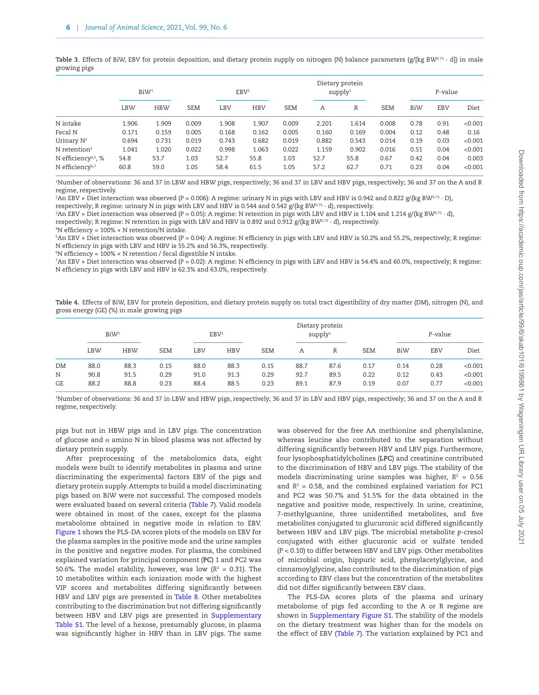<span id="page-5-0"></span>Table 3. Effects of BiW, EBV for protein deposition, and dietary protein supply on nitrogen (N) balance parameters (g/[kg BW<sup>0.75</sup> · d]) in male growing pigs

|                                                                | BiW <sup>1</sup> |              | EBV <sup>1</sup> |              |              |              |              | Dietary protein<br>supply <sup>1</sup> |              | P-value      |              |                  |
|----------------------------------------------------------------|------------------|--------------|------------------|--------------|--------------|--------------|--------------|----------------------------------------|--------------|--------------|--------------|------------------|
|                                                                | LBW              | <b>HBW</b>   | <b>SEM</b>       | LBV          | <b>HBV</b>   | <b>SEM</b>   | A            | R                                      | <b>SEM</b>   | BiW          | <b>EBV</b>   | Diet             |
| N intake                                                       | 1.906            | 1.909        | 0.009            | 1.908        | 1.907        | 0.009        | 2.201        | 1.614                                  | 0.008        | 0.78         | 0.91         | < 0.001          |
| Fecal N                                                        | 0.171            | 0.159        | 0.005            | 0.168        | 0.162        | 0.005        | 0.160        | 0.169                                  | 0.004        | 0.12         | 0.48         | 0.16             |
| Urinary $N^2$                                                  | 0.694            | 0.731        | 0.019            | 0.743        | 0.682        | 0.019        | 0.882        | 0.543                                  | 0.014        | 0.19         | 0.03         | < 0.001          |
| N retention <sup>3</sup>                                       | 1.041            | 1.020        | 0.022            | 0.998        | 1.063        | 0.022        | 1.159        | 0.902                                  | 0.016        | 0.51         | 0.04         | < 0.001          |
| N efficiency <sup>4,5</sup> , %<br>N efficiency <sup>6,7</sup> | 54.8<br>60.8     | 53.7<br>59.0 | 1.03<br>1.05     | 52.7<br>58.4 | 55.8<br>61.5 | 1.03<br>1.05 | 52.7<br>57.2 | 55.8<br>62.7                           | 0.67<br>0.71 | 0.42<br>0.23 | 0.04<br>0.04 | 0.003<br>< 0.001 |
|                                                                |                  |              |                  |              |              |              |              |                                        |              |              |              |                  |

1 Number of observations: 36 and 37 in LBW and HBW pigs, respectively; 36 and 37 in LBV and HBV pigs, respectively; 36 and 37 on the A and R regime, respectively.

2 An EBV × Diet interaction was observed (*P* = 0.006): A regime: urinary N in pigs with LBV and HBV is 0.942 and 0.822 g/(kg BW0.75 · D),

respectively; R regime: urinary N in pigs with LBV and HBV is 0.544 and 0.542  $g/(kg BW^{0.75} \cdot d)$ , respectively.

<sup>3</sup>An EBV × Diet interaction was observed (P = 0.05): A regime: N retention in pigs with LBV and HBV is 1.104 and 1.214 g/(kg BW<sup>0.75</sup> · d),

respectively; R regime: N retention in pigs with LBV and HBV is 0.892 and 0.912  $g/(kg\,BW^{0.75} \cdot d)$ , respectively.

4 N efficiency = 100% × N retention/N intake.

5 An EBV × Diet interaction was observed (*P* = 0.04): A regime: N efficiency in pigs with LBV and HBV is 50.2% and 55.2%, respectively; R regime: N efficiency in pigs with LBV and HBV is 55.2% and 56.3%, respectively.

 $^{\rm 6}{\rm N}$  efficiency = 100% × N retention / fecal digestible N intake.

7 An EBV × Diet interaction was observed (*P* = 0.02): A regime: N efficiency in pigs with LBV and HBV is 54.4% and 60.0%, respectively; R regime: N efficiency in pigs with LBV and HBV is 62.3% and 63.0%, respectively.

<span id="page-5-1"></span>**Table 4.** Effects of BiW, EBV for protein deposition, and dietary protein supply on total tract digestibility of dry matter (DM), nitrogen (N), and gross energy (GE) (%) in male growing pigs

|           | BiW <sup>1</sup> |            |            |      | EBV <sup>1</sup> |            | Dietary protein<br>supply <sup>1</sup> |      |            | P-value |            |         |
|-----------|------------------|------------|------------|------|------------------|------------|----------------------------------------|------|------------|---------|------------|---------|
|           | <b>LBW</b>       | <b>HBW</b> | <b>SEM</b> | LBV  | <b>HBV</b>       | <b>SEM</b> | Α                                      | R    | <b>SEM</b> | BiW     | <b>EBV</b> | Diet    |
| DM        | 88.0             | 88.3       | 0.15       | 88.0 | 88.3             | 0.15       | 88.7                                   | 87.6 | 0.17       | 0.14    | 0.28       | < 0.001 |
| N         | 90.8             | 91.5       | 0.29       | 91.0 | 91.3             | 0.29       | 92.7                                   | 89.5 | 0.22       | 0.12    | 0.43       | < 0.001 |
| <b>GE</b> | 88.2             | 88.8       | 0.23       | 88.4 | 88.5             | 0.23       | 89.1                                   | 87.9 | 0.19       | 0.07    | 0.77       | < 0.001 |

1 Number of observations: 36 and 37 in LBW and HBW pigs, respectively; 36 and 37 in LBV and HBV pigs, respectively; 36 and 37 on the A and R regime, respectively.

pigs but not in HBW pigs and in LBV pigs. The concentration of glucose and  $\alpha$  amino N in blood plasma was not affected by dietary protein supply.

After preprocessing of the metabolomics data, eight models were built to identify metabolites in plasma and urine discriminating the experimental factors EBV of the pigs and dietary protein supply. Attempts to build a model discriminating pigs based on BiW were not successful. The composed models were evaluated based on several criteria [\(Table 7](#page-7-0)). Valid models were obtained in most of the cases, except for the plasma metabolome obtained in negative mode in relation to EBV. [Figure 1](#page-7-1) shows the PLS-DA scores plots of the models on EBV for the plasma samples in the positive mode and the urine samples in the positive and negative modes. For plasma, the combined explained variation for principal component (**PC**) 1 and PC2 was 50.6%. The model stability, however, was low  $(R^2 = 0.31)$ . The 10 metabolites within each ionization mode with the highest VIP scores and metabolites differing significantly between HBV and LBV pigs are presented in [Table 8.](#page-8-0) Other metabolites contributing to the discrimination but not differing significantly between HBV and LBV pigs are presented in [Supplementary](http://academic.oup.com/jas/article-lookup/doi/10.1093/jas/skab101#supplementary-data) [Table S1.](http://academic.oup.com/jas/article-lookup/doi/10.1093/jas/skab101#supplementary-data) The level of a hexose, presumably glucose, in plasma was significantly higher in HBV than in LBV pigs. The same

was observed for the free AA methionine and phenylalanine, whereas leucine also contributed to the separation without differing significantly between HBV and LBV pigs. Furthermore, four lysophosphatidylcholines (**LPC**) and creatinine contributed to the discrimination of HBV and LBV pigs. The stability of the models discriminating urine samples was higher,  $R^2 = 0.56$ and  $R<sup>2</sup> = 0.58$ , and the combined explained variation for PC1 and PC2 was 50.7% and 51.5% for the data obtained in the negative and positive mode, respectively. In urine, creatinine, 7-methylguanine, three unidentified metabolites, and five metabolites conjugated to glucuronic acid differed significantly between HBV and LBV pigs. The microbial metabolite *p*-cresol conjugated with either glucuronic acid or sulfate tended (*P* < 0.10) to differ between HBV and LBV pigs. Other metabolites of microbial origin, hippuric acid, phenylacetylglycine, and cinnamoylglycine, also contributed to the discrimination of pigs according to EBV class but the concentration of the metabolites did not differ significantly between EBV class.

The PLS-DA scores plots of the plasma and urinary metabolome of pigs fed according to the A or R regime are shown in [Supplementary Figure S1](http://academic.oup.com/jas/article-lookup/doi/10.1093/jas/skab101#supplementary-data). The stability of the models on the dietary treatment was higher than for the models on the effect of EBV ([Table 7](#page-7-0)). The variation explained by PC1 and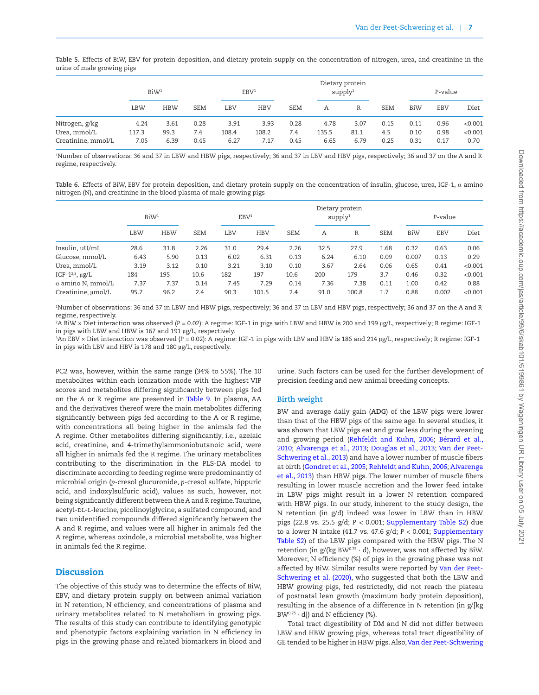<span id="page-6-0"></span>Table 5. Effects of BiW, EBV for protein deposition, and dietary protein supply on the concentration of nitrogen, urea, and creatinine in the urine of male growing pigs

|                                    | BiW <sup>1</sup> |              |             | EBV <sup>1</sup> |               |             | Dietary protein<br>supply <sup>1</sup> |              |             | P-value      |              |                 |
|------------------------------------|------------------|--------------|-------------|------------------|---------------|-------------|----------------------------------------|--------------|-------------|--------------|--------------|-----------------|
|                                    | LBW              | <b>HBW</b>   | <b>SEM</b>  | LBV              | <b>HBV</b>    | <b>SEM</b>  | A                                      | R            | <b>SEM</b>  | BiW          | <b>EBV</b>   | Diet            |
| Nitrogen, g/kg                     | 4.24             | 3.61         | 0.28        | 3.91             | 3.93          | 0.28        | 4.78                                   | 3.07         | 0.15        | 0.11         | 0.96         | < 0.001         |
| Urea, mmol/L<br>Creatinine, mmol/L | 117.3<br>7.05    | 99.3<br>6.39 | 7.4<br>0.45 | 108.4<br>6.27    | 108.2<br>7.17 | 7.4<br>0.45 | 135.5<br>6.65                          | 81.1<br>6.79 | 4.5<br>0.25 | 0.10<br>0.31 | 0.98<br>0.17 | < 0.001<br>0.70 |

1 Number of observations: 36 and 37 in LBW and HBW pigs, respectively; 36 and 37 in LBV and HBV pigs, respectively; 36 and 37 on the A and R regime, respectively.

<span id="page-6-1"></span>**Table 6.** Effects of BiW, EBV for protein deposition, and dietary protein supply on the concentration of insulin, glucose, urea, IGF-1, α amino nitrogen (N), and creatinine in the blood plasma of male growing pigs

|                          | BiW <sup>1</sup> |            | EBV <sup>1</sup> |      |            |            | Dietary protein<br>supply <sup>1</sup> |       |            |       | P-value    |         |  |
|--------------------------|------------------|------------|------------------|------|------------|------------|----------------------------------------|-------|------------|-------|------------|---------|--|
|                          | <b>LBW</b>       | <b>HBW</b> | <b>SEM</b>       | LBV  | <b>HBV</b> | <b>SEM</b> | A                                      | R     | <b>SEM</b> | BiW   | <b>EBV</b> | Diet    |  |
| Insulin, uU/mL           | 28.6             | 31.8       | 2.26             | 31.0 | 29.4       | 2.26       | 32.5                                   | 27.9  | 1.68       | 0.32  | 0.63       | 0.06    |  |
| Glucose, mmol/L          | 6.43             | 5.90       | 0.13             | 6.02 | 6.31       | 0.13       | 6.24                                   | 6.10  | 0.09       | 0.007 | 0.13       | 0.29    |  |
| Urea, mmol/L             | 3.19             | 3.12       | 0.10             | 3.21 | 3.10       | 0.10       | 3.67                                   | 2.64  | 0.06       | 0.65  | 0.41       | < 0.001 |  |
| IGF- $1^{2,3}$ , ug/L    | 184              | 195        | 10.6             | 182  | 197        | 10.6       | 200                                    | 179   | 3.7        | 0.46  | 0.32       | < 0.001 |  |
| $\alpha$ amino N, mmol/L | 7.37             | 7.37       | 0.14             | 7.45 | 7.29       | 0.14       | 7.36                                   | 7.38  | 0.11       | 1.00  | 0.42       | 0.88    |  |
| Creatinine, umol/L       | 95.7             | 96.2       | 2.4              | 90.3 | 101.5      | 2.4        | 91.0                                   | 100.8 | 1.7        | 0.88  | 0.002      | < 0.001 |  |

1 Number of observations: 36 and 37 in LBW and HBW pigs, respectively; 36 and 37 in LBV and HBV pigs, respectively; 36 and 37 on the A and R regime, respectively.

2 A BiW × Diet interaction was observed (*P* = 0.02): A regime: IGF-1 in pigs with LBW and HBW is 200 and 199 µg/L, respectively; R regime: IGF-1 in pigs with LBW and HBW is 167 and 191 µg/L, respectively.

3 An EBV × Diet interaction was observed (*P* = 0.02): A regime: IGF-1 in pigs with LBV and HBV is 186 and 214 µg/L, respectively; R regime: IGF-1 in pigs with LBV and HBV is 178 and 180 µg/L, respectively.

PC2 was, however, within the same range (34% to 55%). The 10 metabolites within each ionization mode with the highest VIP scores and metabolites differing significantly between pigs fed on the A or R regime are presented in [Table 9.](#page-9-0) In plasma, AA and the derivatives thereof were the main metabolites differing significantly between pigs fed according to the A or R regime, with concentrations all being higher in the animals fed the A regime. Other metabolites differing significantly, i.e., azelaic acid, creatinine, and 4-trimethylammoniobutanoic acid, were all higher in animals fed the R regime. The urinary metabolites contributing to the discrimination in the PLS-DA model to discriminate according to feeding regime were predominantly of microbial origin (*p*-cresol glucuronide, *p*-cresol sulfate, hippuric acid, and indoxylsulfuric acid), values as such, however, not being significantly different between the A and R regime. Taurine, acetyl-DL-L-leucine, picolinoylglycine, a sulfated compound, and two unidentified compounds differed significantly between the A and R regime, and values were all higher in animals fed the A regime, whereas oxindole, a microbial metabolite, was higher in animals fed the R regime.

## **Discussion**

The objective of this study was to determine the effects of BiW, EBV, and dietary protein supply on between animal variation in N retention, N efficiency, and concentrations of plasma and urinary metabolites related to N metabolism in growing pigs. The results of this study can contribute to identifying genotypic and phenotypic factors explaining variation in N efficiency in pigs in the growing phase and related biomarkers in blood and

urine. Such factors can be used for the further development of precision feeding and new animal breeding concepts.

## **Birth weight**

BW and average daily gain (**ADG**) of the LBW pigs were lower than that of the HBW pigs of the same age. In several studies, it was shown that LBW pigs eat and grow less during the weaning and growing period [\(Rehfeldt and Kuhn, 2006](#page-12-14); [Bérard et al.,](#page-11-10) [2010;](#page-11-10) [Alvarenga et al., 2013;](#page-11-2) [Douglas et al., 2013](#page-11-11); [Van der Peet-](#page-12-15)[Schwering et al., 2013](#page-12-15)) and have a lower number of muscle fibers at birth [\(Gondret et al., 2005;](#page-11-12) [Rehfeldt and Kuhn, 2006](#page-12-14); [Alvarenga](#page-11-2) [et al., 2013](#page-11-2)) than HBW pigs. The lower number of muscle fibers resulting in lower muscle accretion and the lower feed intake in LBW pigs might result in a lower N retention compared with HBW pigs. In our study, inherent to the study design, the N retention (in g/d) indeed was lower in LBW than in HBW pigs (22.8 vs. 25.5 g/d; *P* < 0.001; [Supplementary Table S2\)](http://academic.oup.com/jas/article-lookup/doi/10.1093/jas/skab101#supplementary-data) due to a lower N intake (41.7 vs. 47.6 g/d; *P* < 0.001; [Supplementary](http://academic.oup.com/jas/article-lookup/doi/10.1093/jas/skab101#supplementary-data) [Table S2\)](http://academic.oup.com/jas/article-lookup/doi/10.1093/jas/skab101#supplementary-data) of the LBW pigs compared with the HBW pigs. The N retention (in  $g/(kg BW^{0.75} \cdot d)$ , however, was not affected by BiW. Moreover, N efficiency (%) of pigs in the growing phase was not affected by BiW. Similar results were reported by [Van der Peet-](#page-12-3)[Schwering et al. \(2020\)](#page-12-3), who suggested that both the LBW and HBW growing pigs, fed restrictedly, did not reach the plateau of postnatal lean growth (maximum body protein deposition), resulting in the absence of a difference in N retention (in g/[kg  $BW^{0.75} \cdot d$ ]) and N efficiency (%).

Total tract digestibility of DM and N did not differ between LBW and HBW growing pigs, whereas total tract digestibility of GE tended to be higher in HBW pigs. Also, [Van der Peet-Schwering](#page-12-3)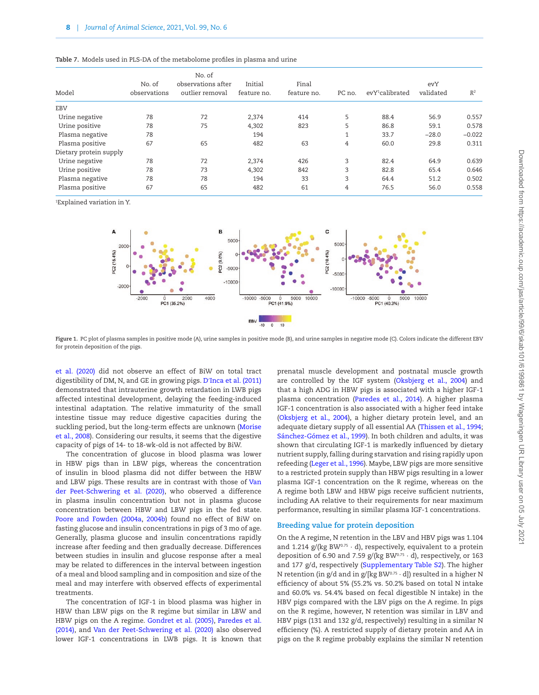|                        |              | No. of             |             |             |        |                             |           |          |
|------------------------|--------------|--------------------|-------------|-------------|--------|-----------------------------|-----------|----------|
|                        | No. of       | observations after | Initial     | Final       |        |                             | evY       |          |
| Model                  | observations | outlier removal    | feature no. | feature no. | PC no. | evY <sup>1</sup> calibrated | validated | $R^2$    |
| <b>EBV</b>             |              |                    |             |             |        |                             |           |          |
| Urine negative         | 78           | 72                 | 2,374       | 414         | 5      | 88.4                        | 56.9      | 0.557    |
| Urine positive         | 78           | 75                 | 4,302       | 823         | 5      | 86.8                        | 59.1      | 0.578    |
| Plasma negative        | 78           |                    | 194         |             |        | 33.7                        | $-28.0$   | $-0.022$ |
| Plasma positive        | 67           | 65                 | 482         | 63          | 4      | 60.0                        | 29.8      | 0.311    |
| Dietary protein supply |              |                    |             |             |        |                             |           |          |
| Urine negative         | 78           | 72                 | 2,374       | 426         | 3      | 82.4                        | 64.9      | 0.639    |
| Urine positive         | 78           | 73                 | 4,302       | 842         | 3      | 82.8                        | 65.4      | 0.646    |
| Plasma negative        | 78           | 78                 | 194         | 33          | 3      | 64.4                        | 51.2      | 0.502    |
| Plasma positive        | 67           | 65                 | 482         | 61          | 4      | 76.5                        | 56.0      | 0.558    |
|                        |              |                    |             |             |        |                             |           |          |

<span id="page-7-0"></span>

1 Explained variation in Y.



<span id="page-7-1"></span>**Figure 1.** PC plot of plasma samples in positive mode (A), urine samples in positive mode (B), and urine samples in negative mode (C). Colors indicate the different EBV for protein deposition of the pigs.

[et al. \(2020\)](#page-12-3) did not observe an effect of BiW on total tract digestibility of DM, N, and GE in growing pigs. D′[Inca et al. \(2011\)](#page-11-13) demonstrated that intrauterine growth retardation in LWB pigs affected intestinal development, delaying the feeding-induced intestinal adaptation. The relative immaturity of the small intestine tissue may reduce digestive capacities during the suckling period, but the long-term effects are unknown [\(Morise](#page-12-16) [et al., 2008](#page-12-16)). Considering our results, it seems that the digestive capacity of pigs of 14- to 18-wk-old is not affected by BiW.

The concentration of glucose in blood plasma was lower in HBW pigs than in LBW pigs, whereas the concentration of insulin in blood plasma did not differ between the HBW and LBW pigs. These results are in contrast with those of [Van](#page-12-3) [der Peet-Schwering et al. \(2020\),](#page-12-3) who observed a difference in plasma insulin concentration but not in plasma glucose concentration between HBW and LBW pigs in the fed state. [Poore and Fowden \(2004a](#page-12-17), [2004b\)](#page-12-18) found no effect of BiW on fasting glucose and insulin concentrations in pigs of 3 mo of age. Generally, plasma glucose and insulin concentrations rapidly increase after feeding and then gradually decrease. Differences between studies in insulin and glucose response after a meal may be related to differences in the interval between ingestion of a meal and blood sampling and in composition and size of the meal and may interfere with observed effects of experimental treatments.

The concentration of IGF-1 in blood plasma was higher in HBW than LBW pigs on the R regime but similar in LBW and HBW pigs on the A regime. [Gondret et al. \(2005\),](#page-11-12) [Paredes et al.](#page-12-19) [\(2014\),](#page-12-19) and [Van der Peet-Schwering et al. \(2020\)](#page-12-3) also observed lower IGF-1 concentrations in LWB pigs. It is known that prenatal muscle development and postnatal muscle growth are controlled by the IGF system [\(Oksbjerg et al., 2004\)](#page-12-20) and that a high ADG in HBW pigs is associated with a higher IGF-1 plasma concentration [\(Paredes et al., 2014](#page-12-19)). A higher plasma IGF-1 concentration is also associated with a higher feed intake [\(Oksbjerg et al., 2004](#page-12-20)), a higher dietary protein level, and an adequate dietary supply of all essential AA [\(Thissen et al., 1994](#page-12-21); [Sánchez-Gómez et al., 1999\)](#page-12-22). In both children and adults, it was shown that circulating IGF-1 is markedly influenced by dietary nutrient supply, falling during starvation and rising rapidly upon refeeding ([Leger et al., 1996](#page-12-23)). Maybe, LBW pigs are more sensitive to a restricted protein supply than HBW pigs resulting in a lower plasma IGF-1 concentration on the R regime, whereas on the A regime both LBW and HBW pigs receive sufficient nutrients, including AA relative to their requirements for near maximum performance, resulting in similar plasma IGF-1 concentrations.

#### **Breeding value for protein deposition**

On the A regime, N retention in the LBV and HBV pigs was 1.104 and 1.214  $g/(kg BW^{0.75} \cdot d)$ , respectively, equivalent to a protein deposition of 6.90 and 7.59  $g/(kg BW^{0.75} \cdot d)$ , respectively, or 163 and 177 g/d, respectively [\(Supplementary Table S2](http://academic.oup.com/jas/article-lookup/doi/10.1093/jas/skab101#supplementary-data)). The higher N retention (in g/d and in g/[kg BW $0.75 \cdot d$ ]) resulted in a higher N efficiency of about 5% (55.2% vs. 50.2% based on total N intake and 60.0% vs. 54.4% based on fecal digestible N intake) in the HBV pigs compared with the LBV pigs on the A regime. In pigs on the R regime, however, N retention was similar in LBV and HBV pigs (131 and 132 g/d, respectively) resulting in a similar N efficiency (%). A restricted supply of dietary protein and AA in pigs on the R regime probably explains the similar N retention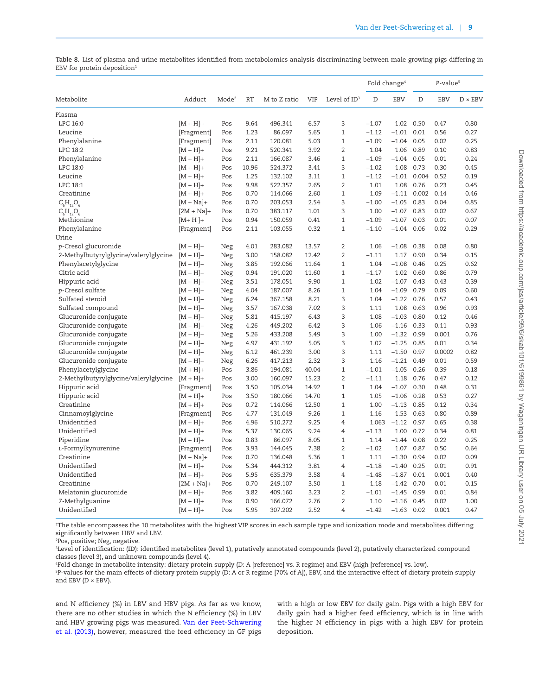<span id="page-8-0"></span>**Table 8.** List of plasma and urine metabolites identified from metabolomics analysis discriminating between male growing pigs differing in EBV for protein deposition<sup>1</sup>

|                                       |              |                   |           |              |            |                 | Fold change <sup>4</sup> |              |               | P-value <sup>5</sup> |                |
|---------------------------------------|--------------|-------------------|-----------|--------------|------------|-----------------|--------------------------|--------------|---------------|----------------------|----------------|
| Metabolite                            | Adduct       | Mode <sup>2</sup> | <b>RT</b> | M to Z ratio | <b>VIP</b> | Level of $ID^3$ | D                        | <b>EBV</b>   | D             | <b>EBV</b>           | $D \times EBV$ |
| Plasma                                |              |                   |           |              |            |                 |                          |              |               |                      |                |
| LPC 16:0                              | $[M + H] +$  | Pos               | 9.64      | 496.341      | 6.57       | 3               | $-1.07$                  |              | 1.02 0.50     | 0.47                 | 0.80           |
| Leucine                               | [Fragment]   | Pos               | 1.23      | 86.097       | 5.65       | $\mathbf{1}$    | $-1.12$                  | $-1.01$      | 0.01          | 0.56                 | 0.27           |
| Phenylalanine                         | [Fragment]   | Pos               | 2.11      | 120.081      | 5.03       | $\mathbf{1}$    | $-1.09$                  | $-1.04$      | 0.05          | 0.02                 | 0.25           |
| LPC 18:2                              | $[M + H] +$  | Pos               | 9.21      | 520.341      | 3.92       | $\overline{2}$  | 1.04                     | 1.06         | 0.89          | 0.10                 | 0.83           |
| Phenylalanine                         | $[M + H] +$  | Pos               | 2.11      | 166.087      | 3.46       | $\mathbf{1}$    | $-1.09$                  | $-1.04$ 0.05 |               | 0.01                 | 0.24           |
| LPC 18:0                              | $[M + H] +$  | Pos               | 10.96     | 524.372      | 3.41       | 3               | $-1.02$                  | 1.08         | 0.73          | 0.30                 | 0.45           |
| Leucine                               | $[M + H] +$  | Pos               | 1.25      | 132.102      | 3.11       | $\mathbf{1}$    | $-1.12$                  |              | $-1.01$ 0.004 | 0.52                 | 0.19           |
| LPC 18:1                              | $[M + H] +$  | Pos               | 9.98      | 522.357      | 2.65       | $\overline{2}$  | 1.01                     |              | 1.08 0.76     | 0.23                 | 0.45           |
| Creatinine                            | $[M + H] +$  | Pos               | 0.70      | 114.066      | 2.60       | $\mathbf{1}$    | 1.09                     | $-1.11$      | 0.002         | 0.14                 | 0.46           |
| $C_6H_{12}O_6$                        | $[M + Na]+$  | Pos               | 0.70      | 203.053      | 2.54       | 3               | $-1.00$                  | $-1.05$      | 0.83          | 0.04                 | 0.85           |
| $C_6H_{12}O_6$                        | $[2M + Na]+$ | Pos               | 0.70      | 383.117      | 1.01       | 3               | 1.00                     | $-1.07$      | 0.83          | 0.02                 | 0.67           |
| Methionine                            | $[M+H]+$     | Pos               | 0.94      | 150.059      | 0.41       | $\mathbf{1}$    | $-1.09$                  | $-1.07$      | 0.03          | 0.01                 | 0.07           |
| Phenylalanine                         | [Fragment]   | Pos               | 2.11      | 103.055      | 0.32       | $\mathbf{1}$    | $-1.10$                  | $-1.04$      | 0.06          | 0.02                 | 0.29           |
| Urine                                 |              |                   |           |              |            |                 |                          |              |               |                      |                |
| p-Cresol glucuronide                  | $[M - H]$ -  | Neg               | 4.01      | 283.082      | 13.57      | $\overline{2}$  | 1.06                     | $-1.08$      | 0.38          | 0.08                 | 0.80           |
| 2-Methylbutyrylglycine/valerylglycine | $[M-H]-$     | Neg               | 3.00      | 158.082      | 12.42      | $\overline{2}$  | $-1.11$                  | 1.17         | 0.90          | 0.34                 | 0.15           |
| Phenylacetylglycine                   | $[M-H]-$     | Neg               | 3.85      | 192.066      | 11.64      | $\mathbf{1}$    | 1.04                     | $-1.08$      | 0.46          | 0.25                 | 0.62           |
| Citric acid                           | $[M-H]-$     | Neg               | 0.94      | 191.020      | 11.60      | $\mathbf{1}$    | $-1.17$                  |              | 1.02 0.60     | 0.86                 | 0.79           |
| Hippuric acid                         | $[M-H]-$     | Neg               | 3.51      | 178.051      | 9.90       | $\mathbf{1}$    | 1.02                     | $-1.07$      | 0.43          | 0.43                 | 0.39           |
| p-Cresol sulfate                      | $[M-H]-$     | Neg               | 4.04      | 187.007      | 8.26       | $\mathbf{1}$    | 1.04                     | $-1.09$      | 0.79          | 0.09                 | 0.60           |
| Sulfated steroid                      | $[M-H]-$     | Neg               | 6.24      | 367.158      | 8.21       | 3               | 1.04                     | $-1.22$      | 0.76          | 0.57                 | 0.43           |
| Sulfated compound                     | $[M-H]-$     | Neg               | 3.57      | 167.038      | 7.02       | 3               | 1.11                     | 1.08         | 0.63          | 0.96                 | 0.93           |
| Glucuronide conjugate                 | $[M-H]-$     | Neg               | 5.81      | 415.197      | 6.43       | 3               | 1.08                     | $-1.03$      | 0.80          | 0.12                 | 0.46           |
| Glucuronide conjugate                 | $[M-H]-$     | Neg               | 4.26      | 449.202      | 6.42       | 3               | 1.06                     | $-1.16$      | 0.33          | 0.11                 | 0.93           |
| Glucuronide conjugate                 | $[M-H]-$     | Neg               | 5.26      | 433.208      | 5.49       | 3               | 1.00                     | $-1.32$      | 0.99          | 0.001                | 0.76           |
| Glucuronide conjugate                 | $[M-H]-$     | Neg               | 4.97      | 431.192      | 5.05       | 3               | 1.02                     | $-1.25$      | 0.85          | 0.01                 | 0.34           |
| Glucuronide conjugate                 | $[M-H]-$     | Neg               | 6.12      | 461.239      | 3.00       | 3               | 1.11                     | $-1.50$      | 0.97          | 0.0002               | 0.82           |
| Glucuronide conjugate                 | $[M-H]-$     | Neg               | 6.26      | 417.213      | 2.32       | 3               | 1.16                     | $-1.21$      | 0.49          | 0.01                 | 0.59           |
| Phenylacetylglycine                   | $[M + H] +$  | Pos               | 3.86      | 194.081      | 40.04      | $\mathbf{1}$    | $-1.01$                  | $-1.05$      | 0.26          | 0.39                 | 0.18           |
| 2-Methylbutyrylglycine/valerylglycine | $[M + H] +$  | Pos               | 3.00      | 160.097      | 15.23      | $\overline{2}$  | $-1.11$                  | 1.18         | 0.76          | 0.47                 | 0.12           |
| Hippuric acid                         | [Fragment]   | Pos               | 3.50      | 105.034      | 14.92      | $\mathbf{1}$    | 1.04                     | $-1.07$      | 0.30          | 0.48                 | 0.31           |
| Hippuric acid                         | $[M + H] +$  | Pos               | 3.50      | 180.066      | 14.70      | $\mathbf{1}$    | 1.05                     | $-1.06$      | 0.28          | 0.53                 | 0.27           |
| Creatinine                            | $[M + H] +$  | Pos               | 0.72      | 114.066      | 12.50      | $\mathbf{1}$    | 1.00                     | $-1.13$      | 0.85          | 0.12                 | 0.34           |
| Cinnamoylglycine                      | [Fragment]   | Pos               | 4.77      | 131.049      | 9.26       | $\mathbf{1}$    | 1.16                     | 1.53         | 0.63          | 0.80                 | 0.89           |
| Unidentified                          | $[M + H] +$  | Pos               | 4.96      | 510.272      | 9.25       | $\overline{4}$  | 1.063                    | $-1.12$      | 0.97          | 0.65                 | 0.38           |
| Unidentified                          | $[M + H] +$  | Pos               | 5.37      | 130.065      | 9.24       | $\overline{4}$  | $-1.13$                  | 1.00         | 0.72          | 0.34                 | 0.81           |
| Piperidine                            | $[M + H] +$  | Pos               | 0.83      | 86.097       | 8.05       | $\mathbf{1}$    | 1.14                     | $-1.44$      | 0.08          | 0.22                 | 0.25           |
| L-Formylkynurenine                    | [Fragment]   | Pos               | 3.93      | 144.045      | 7.38       | $\overline{2}$  | $-1.02$                  | 1.07         | 0.87          | 0.50                 | 0.64           |
| Creatinine                            | $[M + Na]+$  | Pos               | 0.70      | 136.048      | 5.36       | $\mathbf{1}$    | 1.11                     | $-1.30$      | 0.94          | 0.02                 | 0.09           |
| Unidentified                          | $[M + H] +$  | Pos               | 5.34      | 444.312      | 3.81       | $\overline{4}$  | $-1.18$                  | $-1.40$      | 0.25          | 0.01                 | 0.91           |
| Unidentified                          | $[M + H] +$  | Pos               | 5.95      | 635.379      | 3.58       | 4               | $-1.48$                  | $-1.87$      | 0.01          | 0.001                | 0.40           |
| Creatinine                            | $[2M + Na]+$ | Pos               | 0.70      | 249.107      | 3.50       | $\mathbf{1}$    | 1.18                     | $-1.42$      | 0.70          | 0.01                 | 0.15           |
| Melatonin glucuronide                 | $[M + H] +$  | Pos               | 3.82      | 409.160      | 3.23       | $\overline{2}$  | $-1.01$                  | $-1.45$      | 0.99          | 0.01                 | 0.84           |
| 7-Methylguanine                       | $[M + H] +$  | Pos               | 0.90      | 166.072      | 2.76       | $\overline{2}$  | 1.10                     | $-1.16$      | 0.45          | 0.02                 | 1.00           |
| Unidentified                          | $[M + H] +$  | Pos               | 5.95      | 307.202      | 2.52       | 4               | $-1.42$                  | $-1.63$      | 0.02          | 0.001                | 0.47           |

1 The table encompasses the 10 metabolites with the highest VIP scores in each sample type and ionization mode and metabolites differing significantly between HBV and LBV.

2 Pos, positive; Neg, negative.

3 Level of identification: (**ID**): identified metabolites (level 1), putatively annotated compounds (level 2), putatively characterized compound classes (level 3), and unknown compounds (level 4).

4 Fold change in metabolite intensity: dietary protein supply (D: A [reference] vs. R regime) and EBV (high [reference] vs. low).

5 *P*-values for the main effects of dietary protein supply (D: A or R regime [70% of A]), EBV, and the interactive effect of dietary protein supply and EBV ( $D \times EBV$ ).

and N efficiency (%) in LBV and HBV pigs. As far as we know, there are no other studies in which the N efficiency (%) in LBV and HBV growing pigs was measured. [Van der Peet-Schwering](#page-12-15) [et al. \(2013\)](#page-12-15), however, measured the feed efficiency in GF pigs with a high or low EBV for daily gain. Pigs with a high EBV for daily gain had a higher feed efficiency, which is in line with the higher N efficiency in pigs with a high EBV for protein deposition.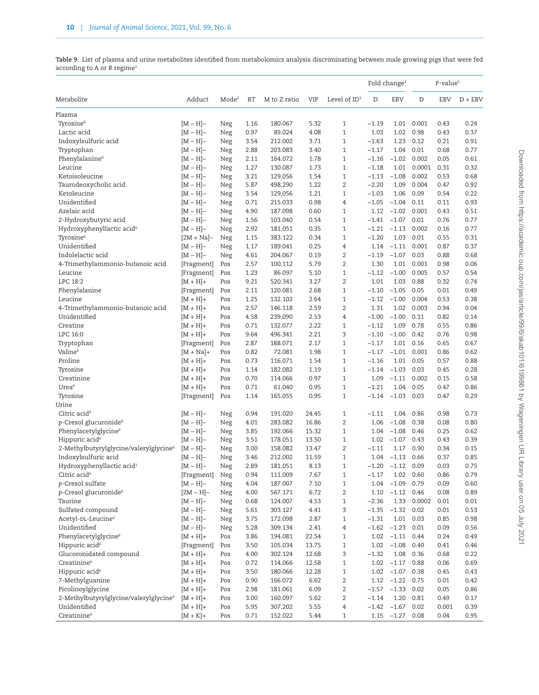<span id="page-9-0"></span>**Table 9.** List of plasma and urine metabolites identified from metabolomics analysis discriminating between male growing pigs that were fed according to A or R regime<sup>1</sup>

|                                        |                           |                   |      |              |            |                 | Fold change <sup>4</sup> |                   | P-value <sup>5</sup> |       |                |  |
|----------------------------------------|---------------------------|-------------------|------|--------------|------------|-----------------|--------------------------|-------------------|----------------------|-------|----------------|--|
| Metabolite                             | Adduct                    | Mode <sup>2</sup> | RT   | M to Z ratio | <b>VIP</b> | Level of $ID^3$ | D                        | EBV               | D                    | EBV   | $D \times EBV$ |  |
| Plasma                                 |                           |                   |      |              |            |                 |                          |                   |                      |       |                |  |
| Tyrosine <sup>6</sup>                  | $[M-H]-$                  | Neg               | 1.16 | 180.067      | 5.32       | $\mathbf{1}$    | $-1.19$                  | 1.01              | 0.001                | 0.43  | 0.24           |  |
| Lactic acid                            | $[M-H]-$                  | Neg               | 0.97 | 89.024       | 4.08       | $\mathbf{1}$    | 1.03                     | 1.02              | 0.98                 | 0.43  | 0.37           |  |
| Indoxylsulfuric acid                   | $[M-H]-$                  | Neg               | 3.54 | 212.002      | 3.71       | $\mathbf{1}$    | $-1.63$                  | 1.23              | 0.12                 | 0.21  | 0.91           |  |
| Tryptophan                             | $[M-H]-$                  | Neg               | 2.88 | 203.083      | 3.40       | $\mathbf{1}$    | $-1.17$                  | 1.04              | 0.01                 | 0.68  | 0.77           |  |
| Phenylalanine <sup>6</sup>             | $[M-H]-$                  | Neg               | 2.11 | 164.072      | 1.78       | $\mathbf{1}$    | $-1.16$                  | $-1.02$           | 0.002                | 0.05  | 0.61           |  |
| Leucine                                | $[M-H]-$                  | Neg               | 1.27 | 130.087      | 1.73       | 1               | $-1.18$                  | 1.01              | 0.0001               | 0.31  | 0.32           |  |
| Ketoisoleucine                         | $[M-H]-$                  | Neg               | 3.21 | 129.056      | 1.54       | $\mathbf{1}$    | $-1.13$                  | $-1.08$           | 0.002                | 0.53  | 0.68           |  |
| Taurodeoxycholic acid                  | $[M-H]-$                  | Neg               | 5.87 | 498.290      | 1.22       | $\overline{2}$  | $-2.20$                  | 1.09              | 0.004                | 0.47  | 0.92           |  |
| Ketoleucine                            | $[M-H]-$                  | Neg               | 3.54 | 129.056      | 1.21       | $\mathbf{1}$    | $-1.03$                  | 1.06              | 0.09                 | 0.54  | 0.22           |  |
| Unidentified                           | $[M-H]-$                  | Neg               | 0.71 | 215.033      | 0.98       | 4               | $-1.05$                  | $-1.04$           | 0.11                 | 0.11  | 0.93           |  |
| Azelaic acid                           | $[M-H]-$                  | Neg               | 4.90 | 187.098      | 0.60       | 1               | 1.12                     | $-1.02$           | 0.001                | 0.43  | 0.51           |  |
| 2-Hydroxybutyric acid                  | $[M-H]-$                  | Neg               | 1.56 | 103.040      | 0.54       | $\mathbf{1}$    | $-1.41$                  | $-1.07$           | 0.01                 | 0.76  | 0.77           |  |
| Hydroxyphenyllactic acid <sup>6</sup>  | $[M-H]-$                  | Neg               | 2.92 | 181.051      | 0.35       | $\mathbf{1}$    | $-1.21$                  | $-1.13$           | 0.002                | 0.16  | 0.77           |  |
| Tyrosine <sup>6</sup>                  | $[2M + Na]$ -             | Neg               | 1.15 | 383.122      | 0.34       | $\mathbf{1}$    | $-1.20$                  | 1.03              | 0.01                 | 0.55  | 0.31           |  |
| Unidentified                           | $[M-H]-$                  | Neg               | 1.17 | 189.041      | 0.25       | 4               | 1.14                     | $-1.11$           | 0.001                | 0.87  | 0.37           |  |
| Indolelactic acid                      | $[M-H]-$                  | Neg               | 4.61 | 204.067      | 0.19       | $\overline{2}$  | $-1.19$                  | $-1.07$           | 0.03                 | 0.88  | 0.68           |  |
| 4-Trimethylammonio-butanoic acid       | [Fragment]                | Pos               | 2.57 | 100.112      | 5.79       | $\overline{2}$  | 1.30                     | 1.01              | 0.001                | 0.98  | 0.06           |  |
| Leucine                                |                           | Pos               | 1.23 | 86.097       | 5.10       | $\mathbf{1}$    | $-1.12$                  | $-1.00$           | 0.005                | 0.57  | 0.54           |  |
| LPC 18:2                               | [Fragment]<br>$[M + H] +$ | Pos               | 9.21 | 520.341      | 3.27       | $\overline{2}$  | 1.01                     | 1.03              | 0.88                 | 0.32  | 0.74           |  |
|                                        |                           |                   | 2.11 |              | 2.68       | $\mathbf{1}$    | $-1.10$                  | $-1.05$           | 0.05                 | 0.01  |                |  |
| Phenylalanine                          | [Fragment]                | Pos               |      | 120.081      | 2.64       | $\mathbf{1}$    | $-1.12$                  | $-1.00$           | 0.004                |       | 0.49           |  |
| Leucine                                | $[M + H] +$               | Pos               | 1.25 | 132.102      |            | $\overline{2}$  |                          |                   |                      | 0.53  | 0.38           |  |
| 4-Trimethylammonio-butanoic acid       | $[M + H] +$               | Pos               | 2.57 | 146.118      | 2.59       |                 | 1.31                     | 1.02              | 0.003                | 0.94  | 0.04           |  |
| Unidentified                           | $[M + H] +$               | Pos               | 4.58 | 239.090      | 2.53       | 4               | $-1.00$                  | $-1.00$           | 0.31                 | 0.82  | 0.14           |  |
| Creatine                               | $[M + H] +$               | Pos               | 0.71 | 132.077      | 2.22       | 1               | $-1.12$                  | 1.09              | 0.78                 | 0.55  | 0.86           |  |
| LPC 16:0                               | $[M + H] +$               | Pos               | 9.64 | 496.341      | 2.21       | 3               | $-1.10$                  | $-1.00$           | 0.42                 | 0.76  | 0.98           |  |
| Tryptophan                             | [Fragment]                | Pos               | 2.87 | 188.071      | 2.17       | $\mathbf{1}$    | $-1.17$                  | 1.01              | 0.16                 | 0.65  | 0.67           |  |
| Valine <sup>6</sup>                    | $[M + Na]+$               | Pos               | 0.82 | 72.081       | 1.98       | $\mathbf{1}$    | $-1.17$                  | $-1.01$           | 0.001                | 0.86  | 0.62           |  |
| Proline                                | $[M + H] +$               | Pos               | 0.73 | 116.071      | 1.54       | $\mathbf{1}$    | $-1.16$                  | 1.01              | 0.05                 | 0.57  | 0.88           |  |
| Tyrosine                               | $[M + H] +$               | Pos               | 1.14 | 182.082      | 1.19       | $\mathbf{1}$    | $-1.14$                  | $-1.03$           | 0.03                 | 0.45  | 0.28           |  |
| Creatinine                             | $[M + H] +$               | Pos               | 0.70 | 114.066      | 0.97       | $\mathbf{1}$    | 1.09                     | $-1.11$           | 0.002                | 0.15  | 0.58           |  |
| Urea <sup>6</sup>                      | $[M + H] +$               | Pos               | 0.71 | 61.040       | 0.95       | $\mathbf{1}$    | $-1.21$                  | 1.04              | 0.05                 | 0.47  | 0.86           |  |
| Tyrosine                               | [Fragment]                | Pos               | 1.14 | 165.055      | 0.95       | $\mathbf{1}$    | $-1.14$                  | $-1.03$           | 0.03                 | 0.47  | 0.29           |  |
| Urine                                  |                           |                   |      |              |            |                 |                          |                   |                      |       |                |  |
| Citric acid <sup>6</sup>               | $[M-H]-$                  | Neg               | 0.94 | 191.020      | 24.45      | $\mathbf{1}$    | $-1.11$                  | 1.04              | 0.86                 | 0.98  | 0.73           |  |
| p-Cresol glucuronide <sup>6</sup>      | $[M-H]-$                  | Neg               | 4.01 | 283.082      | 16.86      | 2               | 1.06                     | $-1.08$           | 0.38                 | 0.08  | 0.80           |  |
| Phenylacetylglycine <sup>6</sup>       | $[M-H]-$                  | Neg               | 3.85 | 192.066      | 15.32      | $\mathbf{1}$    | 1.04                     | $-1.08$           | 0.46                 | 0.25  | 0.62           |  |
| Hippuric acid <sup>6</sup>             | $[M-H]-$                  | Neg               | 3.51 | 178.051      | 13.50      | $\mathbf{1}$    | 1.02                     | $-1.07$           | 0.43                 | 0.43  | 0.39           |  |
| 2-Methylbutyrylglycine/valerylglycine6 | $[M-H]-$                  | Neg               | 3.00 | 158.082      | 13.47      | $\overline{2}$  | $-1.11$                  | 1.17              | 0.90                 | 0.34  | 0.15           |  |
| Indoxylsulfuric acid                   | $[M-H]-$                  | Neg               | 3.46 | 212.002      | 11.59      | $\mathbf{1}$    | 1.04                     | $-1.13$           | 0.66                 | 0.37  | 0.85           |  |
| Hydroxyphenyllactic acid <sup>1</sup>  | $[M-H]-$                  | Neg               | 2.89 | 181.051      | 8.13       | $\mathbf{1}$    | $-1.20$                  | $-1.12$           | 0.09                 | 0.03  | 0.75           |  |
| Citric acid <sup>6</sup>               | [Fragment]                | Neg               | 0.94 | 111.009      | 7.67       | $1\,$           | $-1.17$                  | 1.02              | 0.60                 | 0.86  | 0.79           |  |
| p-Cresol sulfate                       | $[M - H]$ -               | Neg               | 4.04 | 187.007      | 7.10       | $\mathbf{1}$    | 1.04                     | $-1.09$           | 0.79                 | 0.09  | 0.60           |  |
| p-Cresol glucuronide <sup>6</sup>      | $[2M - H]$ -              | Neg               | 4.00 | 567.171      | 6.72       | $\overline{2}$  | 1.10                     | $-1.12$           | 0.46                 | 0.08  | 0.89           |  |
| Taurine                                | $[M-H]-$                  | Neg               | 0.68 | 124.007      | 4.53       | $\mathbf{1}$    | $-2.36$                  | 1.33              | 0.0002               | 0.01  | 0.01           |  |
| Sulfated compound                      | $[M-H]-$                  | Neg               | 5.61 | 303.127      | 4.41       | 3               | $-1.35$                  | $-1.32$           | 0.02                 | 0.01  | 0.53           |  |
| Acetyl-DL-Leucine <sup>6</sup>         | $[M-H]-$                  | Neg               | 3.75 | 172.098      | 2.87       | $\mathbf{1}$    | $-1.31$                  | 1.01              | 0.03                 | 0.85  | 0.98           |  |
| Unidentified                           | $[M-H]-$                  | Neg               | 5.28 | 309.134      | 2.41       | 4               | $-1.62$                  | $-1.23$           | 0.01                 | 0.09  | 0.56           |  |
| Phenylacetylglycine <sup>6</sup>       | $[M + H] +$               | Pos               | 3.86 | 194.081      | 22.54      | $\mathbf{1}$    | 1.02                     | $-1.11$           | 0.44                 | 0.24  | 0.49           |  |
| Hippuric acid <sup>6</sup>             | [Fragment]                | Pos               | 3.50 | 105.034      | 13.75      | $\mathbf{1}$    | 1.02                     | $-1.08$           | 0.40                 | 0.41  | 0.46           |  |
| Glucoronidated compound                | $[M + H] +$               | Pos               | 4.00 | 302.124      | 12.68      | 3               | $-1.32$                  | 1.08              | 0.36                 | 0.68  | 0.22           |  |
| Creatinine <sup>6</sup>                | $[M + H] +$               | Pos               | 0.72 | 114.066      | 12.58      | $\mathbf{1}$    | 1.02                     | $-1.17$           | 0.88                 | 0.06  | 0.69           |  |
| Hippuric acid <sup>6</sup>             | $[M + H] +$               | Pos               | 3.50 | 180.066      | 12.28      | $\mathbf{1}$    | 1.02                     | $-1.07$           | 0.38                 | 0.45  | 0.43           |  |
| 7-Methylguanine                        | $[M + H] +$               | Pos               | 0.90 | 166.072      | 6.62       | $\overline{c}$  |                          | $1.12 -1.22 0.75$ |                      | 0.01  | 0.42           |  |
| Picolinoylglycine                      | $[M + H] +$               | Pos               | 2.98 | 181.061      | 6.09       | $\overline{2}$  | $-1.57$                  | $-1.33$           | 0.02                 | 0.05  | 0.86           |  |
| 2-Methylbutyrylglycine/valerylglycine6 | $[M + H] +$               | Pos               | 3.00 | 160.097      | 5.62       | $\overline{2}$  | $-1.14$                  | 1.20              | 0.81                 | 0.49  | 0.17           |  |
| Unidentified                           | $[M + H] +$               | Pos               | 5.95 | 307.202      | 5.55       | 4               | $-1.42$                  | $-1.67$ 0.02      |                      | 0.001 | 0.39           |  |
| $\mbox{Creatinine}^6$                  | $[M + K]$ +               | Pos               | 0.71 | 152.022      | 5.44       | $\mathbf{1}$    |                          | $1.15 -1.27 0.08$ |                      | 0.04  | 0.95           |  |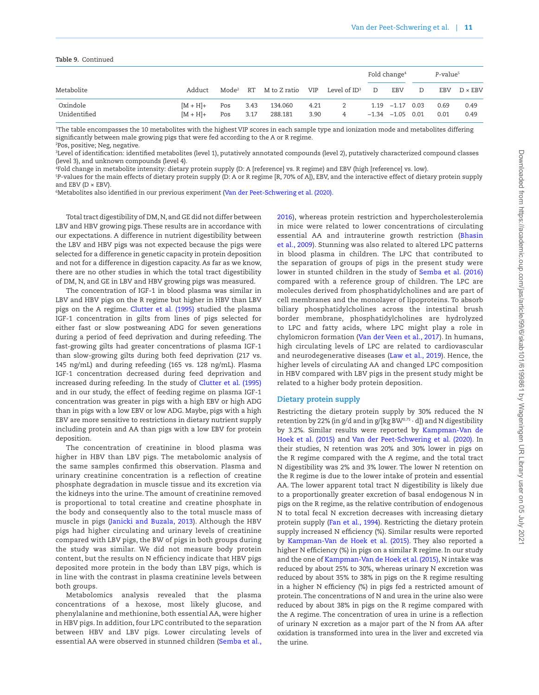| <b>Table 9.</b> Continued |                            |                   |              |                    |              |                          |                          |                                           |                      |              |                |
|---------------------------|----------------------------|-------------------|--------------|--------------------|--------------|--------------------------|--------------------------|-------------------------------------------|----------------------|--------------|----------------|
|                           |                            |                   |              |                    |              |                          | Fold change <sup>4</sup> |                                           | P-value <sup>5</sup> |              |                |
| Metabolite                | Adduct                     | Mode <sup>2</sup> | <b>RT</b>    | M to Z ratio       | VIP          | Level of $\mathrm{ID}^3$ | D                        | EBV                                       | D                    | EBV          | $D \times EBV$ |
| Oxindole<br>Unidentified  | $[M + H] +$<br>$[M + H] +$ | Pos<br>Pos        | 3.43<br>3.17 | 134.060<br>288.181 | 4.21<br>3.90 | 2<br>4                   |                          | $1.19 -1.17 0.03$<br>$-1.34$ $-1.05$ 0.01 |                      | 0.69<br>0.01 | 0.49<br>0.49   |

1 The table encompasses the 10 metabolites with the highest VIP scores in each sample type and ionization mode and metabolites differing significantly between male growing pigs that were fed according to the A or R regime. 2 Pos, positive; Neg, negative.

3 Level of identification: identified metabolites (level 1), putatively annotated compounds (level 2), putatively characterized compound classes (level 3), and unknown compounds (level 4).

4 Fold change in metabolite intensity: dietary protein supply (D: A [reference] vs. R regime) and EBV (high [reference] vs. low).

5 *P*-values for the main effects of dietary protein supply (D: A or R regime [R, 70% of A]), EBV, and the interactive effect of dietary protein supply and EBV (D × EBV).

6 Metabolites also identified in our previous experiment [\(Van der Peet-Schwering et al. \(2020\)](#page-12-3).

Total tract digestibility of DM, N, and GE did not differ between LBV and HBV growing pigs. These results are in accordance with our expectations. A difference in nutrient digestibility between the LBV and HBV pigs was not expected because the pigs were selected for a difference in genetic capacity in protein deposition and not for a difference in digestion capacity. As far as we know, there are no other studies in which the total tract digestibility of DM, N, and GE in LBV and HBV growing pigs was measured.

The concentration of IGF-1 in blood plasma was similar in LBV and HBV pigs on the R regime but higher in HBV than LBV pigs on the A regime. [Clutter et al. \(1995\)](#page-11-14) studied the plasma IGF-1 concentration in gilts from lines of pigs selected for either fast or slow postweaning ADG for seven generations during a period of feed deprivation and during refeeding. The fast-growing gilts had greater concentrations of plasma IGF-1 than slow-growing gilts during both feed deprivation (217 vs. 145 ng/mL) and during refeeding (165 vs. 128 ng/mL). Plasma IGF-1 concentration decreased during feed deprivation and increased during refeeding. In the study of [Clutter et al. \(1995\)](#page-11-14) and in our study, the effect of feeding regime on plasma IGF-1 concentration was greater in pigs with a high EBV or high ADG than in pigs with a low EBV or low ADG. Maybe, pigs with a high EBV are more sensitive to restrictions in dietary nutrient supply including protein and AA than pigs with a low EBV for protein deposition.

The concentration of creatinine in blood plasma was higher in HBV than LBV pigs. The metabolomic analysis of the same samples confirmed this observation. Plasma and urinary creatinine concentration is a reflection of creatine phosphate degradation in muscle tissue and its excretion via the kidneys into the urine. The amount of creatinine removed is proportional to total creatine and creatine phosphate in the body and consequently also to the total muscle mass of muscle in pigs [\(Janicki and Buzala, 2013](#page-11-15)). Although the HBV pigs had higher circulating and urinary levels of creatinine compared with LBV pigs, the BW of pigs in both groups during the study was similar. We did not measure body protein content, but the results on N efficiency indicate that HBV pigs deposited more protein in the body than LBV pigs, which is in line with the contrast in plasma creatinine levels between both groups.

Metabolomics analysis revealed that the plasma concentrations of a hexose, most likely glucose, and phenylalanine and methionine, both essential AA, were higher in HBV pigs. In addition, four LPC contributed to the separation between HBV and LBV pigs. Lower circulating levels of essential AA were observed in stunned children ([Semba et al.,](#page-12-24) [2016](#page-12-24)), whereas protein restriction and hypercholesterolemia in mice were related to lower concentrations of circulating essential AA and intrauterine growth restriction [\(Bhasin](#page-11-16) [et al., 2009](#page-11-16)). Stunning was also related to altered LPC patterns in blood plasma in children. The LPC that contributed to the separation of groups of pigs in the present study were lower in stunted children in the study of [Semba et al. \(2016\)](#page-12-24) compared with a reference group of children. The LPC are molecules derived from phosphatidylcholines and are part of cell membranes and the monolayer of lipoproteins. To absorb biliary phosphatidylcholines across the intestinal brush border membrane, phosphatidylcholines are hydrolyzed to LPC and fatty acids, where LPC might play a role in chylomicron formation ([Van der Veen et al., 2017](#page-12-25)). In humans, high circulating levels of LPC are related to cardiovascular and neurodegenerative diseases ([Law et al., 2019\)](#page-11-17). Hence, the higher levels of circulating AA and changed LPC composition in HBV compared with LBV pigs in the present study might be related to a higher body protein deposition.

#### **Dietary protein supply**

Restricting the dietary protein supply by 30% reduced the N retention by 22% (in g/d and in g/[kg BW $^{0.75}$  · d]) and N digestibility by 3.2%. Similar results were reported by [Kampman-Van de](#page-11-18) [Hoek et al. \(2015\)](#page-11-18) and [Van der Peet-Schwering et al. \(2020\).](#page-12-3) In their studies, N retention was 20% and 30% lower in pigs on the R regime compared with the A regime, and the total tract N digestibility was 2% and 3% lower. The lower N retention on the R regime is due to the lower intake of protein and essential AA. The lower apparent total tract N digestibility is likely due to a proportionally greater excretion of basal endogenous N in pigs on the R regime, as the relative contribution of endogenous N to total fecal N excretion decreases with increasing dietary protein supply [\(Fan et al., 1994\)](#page-11-19). Restricting the dietary protein supply increased N efficiency (%). Similar results were reported by [Kampman-Van de Hoek et al. \(2015\)](#page-11-18). They also reported a higher N efficiency (%) in pigs on a similar R regime. In our study and the one of [Kampman-Van de Hoek et al. \(2015\)](#page-11-18), N intake was reduced by about 25% to 30%, whereas urinary N excretion was reduced by about 35% to 38% in pigs on the R regime resulting in a higher N efficiency (%) in pigs fed a restricted amount of protein. The concentrations of N and urea in the urine also were reduced by about 38% in pigs on the R regime compared with the A regime. The concentration of urea in urine is a reflection of urinary N excretion as a major part of the N from AA after oxidation is transformed into urea in the liver and excreted via the urine.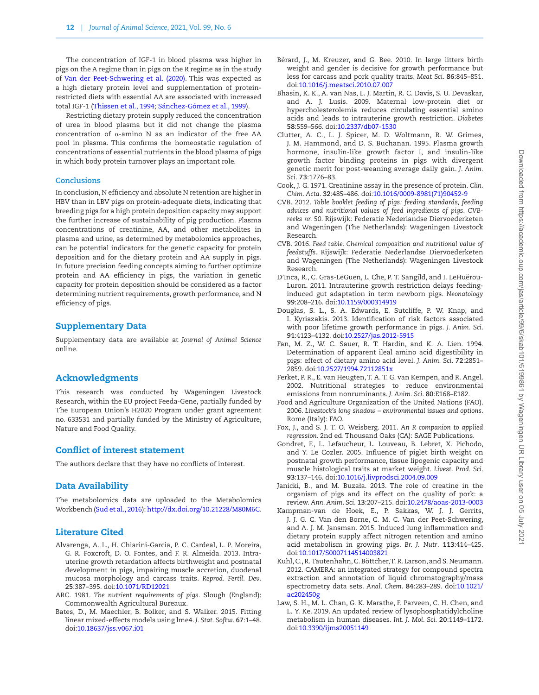The concentration of IGF-1 in blood plasma was higher in pigs on the A regime than in pigs on the R regime as in the study of [Van der Peet-Schwering et al. \(2020\)](#page-12-3). This was expected as a high dietary protein level and supplementation of proteinrestricted diets with essential AA are associated with increased total IGF-1 ([Thissen et al., 1994;](#page-12-21) [Sánchez-Gómez et al., 1999\)](#page-12-22).

Restricting dietary protein supply reduced the concentration of urea in blood plasma but it did not change the plasma concentration of α-amino N as an indicator of the free AA pool in plasma. This confirms the homeostatic regulation of concentrations of essential nutrients in the blood plasma of pigs in which body protein turnover plays an important role.

#### **Conclusions**

In conclusion, N efficiency and absolute N retention are higher in HBV than in LBV pigs on protein-adequate diets, indicating that breeding pigs for a high protein deposition capacity may support the further increase of sustainability of pig production. Plasma concentrations of creatinine, AA, and other metabolites in plasma and urine, as determined by metabolomics approaches, can be potential indicators for the genetic capacity for protein deposition and for the dietary protein and AA supply in pigs. In future precision feeding concepts aiming to further optimize protein and AA efficiency in pigs, the variation in genetic capacity for protein deposition should be considered as a factor determining nutrient requirements, growth performance, and N efficiency of pigs.

## Supplementary Data

Supplementary data are available at *Journal of Animal Science* online.

## Acknowledgments

This research was conducted by Wageningen Livestock Research, within the EU project Feeda-Gene, partially funded by The European Union's H2020 Program under grant agreement no. 633531 and partially funded by the Ministry of Agriculture, Nature and Food Quality.

## Conflict of interest statement

The authors declare that they have no conflicts of interest.

## Data Availability

The metabolomics data are uploaded to the Metabolomics Workbench ([Sud et al., 2016](#page-12-26)):<http://dx.doi.org/10.21228/M80M6C>.

#### Literature Cited

- <span id="page-11-2"></span>Alvarenga, A. L., H. Chiarini-Garcia, P. C. Cardeal, L. P. Moreira, G. R. Foxcroft, D. O. Fontes, and F. R. Almeida. 2013. Intrauterine growth retardation affects birthweight and postnatal development in pigs, impairing muscle accretion, duodenal mucosa morphology and carcass traits. *Reprod. Fertil. Dev*. **25**:387–395. doi[:10.1071/RD12021](https://doi.org/10.1071/RD12021)
- <span id="page-11-4"></span>ARC. 1981. *The nutrient requirements of pigs*. Slough (England): Commonwealth Agricultural Bureaux.
- <span id="page-11-8"></span>Bates, D., M. Maechler, B. Bolker, and S. Walker. 2015. Fitting linear mixed-effects models using lme4. *J. Stat. Softw*. **67**:1–48. doi:[10.18637/jss.v067.i01](https://doi.org/10.18637/jss.v067.i01)
- <span id="page-11-10"></span>Bérard, J., M. Kreuzer, and G. Bee. 2010. In large litters birth weight and gender is decisive for growth performance but less for carcass and pork quality traits. *Meat Sci*. **86**:845–851. doi:[10.1016/j.meatsci.2010.07.007](https://doi.org/10.1016/j.meatsci.2010.07.007)
- <span id="page-11-16"></span>Bhasin, K. K., A. van Nas, L. J. Martin, R. C. Davis, S. U. Devaskar, and A. J. Lusis. 2009. Maternal low-protein diet or hypercholesterolemia reduces circulating essential amino acids and leads to intrauterine growth restriction. *Diabetes* **58**:559–566. doi[:10.2337/db07-1530](https://doi.org/10.2337/db07-1530)
- <span id="page-11-14"></span>Clutter, A. C., L. J. Spicer, M. D. Woltmann, R. W. Grimes, J. M. Hammond, and D. S. Buchanan. 1995. Plasma growth hormone, insulin-like growth factor I, and insulin-like growth factor binding proteins in pigs with divergent genetic merit for post-weaning average daily gain. *J. Anim. Sci*. **73**:1776–83.
- <span id="page-11-6"></span>Cook, J. G. 1971. Creatinine assay in the presence of protein. *Clin. Chim. Acta*. **32**:485–486. doi[:10.1016/0009-8981\(71\)90452-9](https://doi.org/10.1016/0009-8981(71)90452-9)
- <span id="page-11-3"></span>CVB. 2012. *Table booklet feeding of pigs: feeding standards, feeding advices and nutritional values of feed ingredients of pigs. CVBreeks nr. 50*. Rijswijk: Federatie Nederlandse Diervoederketen and Wageningen (The Netherlands): Wageningen Livestock Research.
- <span id="page-11-5"></span>CVB. 2016. *Feed table. Chemical composition and nutritional value of feedstuffs*. Rijswijk: Federatie Nederlandse Diervoederketen and Wageningen (The Netherlands): Wageningen Livestock Research.
- <span id="page-11-13"></span>D′Inca, R., C. Gras-LeGuen, L. Che, P. T. Sangild, and I. LeHuërou-Luron. 2011. Intrauterine growth restriction delays feedinginduced gut adaptation in term newborn pigs. *Neonatology* **99**:208–216. doi[:10.1159/000314919](https://doi.org/10.1159/000314919)
- <span id="page-11-11"></span>Douglas, S. L., S. A. Edwards, E. Sutcliffe, P. W. Knap, and I. Kyriazakis. 2013. Identification of risk factors associated with poor lifetime growth performance in pigs. *J. Anim. Sci*. **91**:4123–4132. doi:[10.2527/jas.2012-5915](https://doi.org/10.2527/jas.2012-5915)
- <span id="page-11-19"></span>Fan, M. Z., W. C. Sauer, R. T. Hardin, and K. A. Lien. 1994. Determination of apparent ileal amino acid digestibility in pigs: effect of dietary amino acid level. *J. Anim. Sci*. **72**:2851– 2859. doi[:10.2527/1994.72112851x](https://doi.org/10.2527/1994.72112851x)
- <span id="page-11-1"></span>Ferket, P. R., E. van Heugten, T. A. T. G. van Kempen, and R. Angel. 2002. Nutritional strategies to reduce environmental emissions from nonruminants. *J. Anim. Sci*. **80**:E168–E182.
- <span id="page-11-0"></span>Food and Agriculture Organization of the United Nations (FAO). 2006. *Livestock's long shadow – environmental issues and options*. Rome (Italy): FAO.
- <span id="page-11-9"></span>Fox, J., and S. J. T. O. Weisberg. 2011. *An R companion to applied regression*. 2nd ed. Thousand Oaks (CA): SAGE Publications.
- <span id="page-11-12"></span>Gondret, F., L. Lefaucheur, L. Louveau, B. Lebret, X. Pichodo, and Y. Le Cozler. 2005. Influence of piglet birth weight on postnatal growth performance, tissue lipogenic capacity and muscle histological traits at market weight. *Livest. Prod. Sci*. **93**:137–146. doi[:10.1016/j.livprodsci.2004.09.009](https://doi.org/10.1016/j.livprodsci.2004.09.009)
- <span id="page-11-15"></span>Janicki, B., and M. Buzała. 2013. The role of creatine in the organism of pigs and its effect on the quality of pork: a review. *Ann. Anim. Sci*. **13**:207–215. doi:[10.2478/aoas-2013-0003](https://doi.org/10.2478/aoas-2013-0003)
- <span id="page-11-18"></span>Kampman-van de Hoek, E., P. Sakkas, W. J. J. Gerrits, J. J. G. C. Van den Borne, C. M. C. Van der Peet-Schwering, and A. J. M. Jansman. 2015. Induced lung inflammation and dietary protein supply affect nitrogen retention and amino acid metabolism in growing pigs. *Br. J. Nutr*. **113**:414–425. doi:[10.1017/S0007114514003821](https://doi.org/10.1017/S0007114514003821)
- <span id="page-11-7"></span>Kuhl, C., R. Tautenhahn, C. Böttcher, T. R. Larson, and S. Neumann. 2012. CAMERA: an integrated strategy for compound spectra extraction and annotation of liquid chromatography/mass spectrometry data sets. *Anal. Chem*. **84**:283–289. doi[:10.1021/](https://doi.org/10.1021/ac202450g) [ac202450g](https://doi.org/10.1021/ac202450g)
- <span id="page-11-17"></span>Law, S. H., M. L. Chan, G. K. Marathe, F. Parveen, C. H. Chen, and L. Y. Ke. 2019. An updated review of lysophosphatidylcholine metabolism in human diseases. *Int. J. Mol. Sci*. **20**:1149–1172. doi:[10.3390/ijms20051149](https://doi.org/10.3390/ijms20051149)